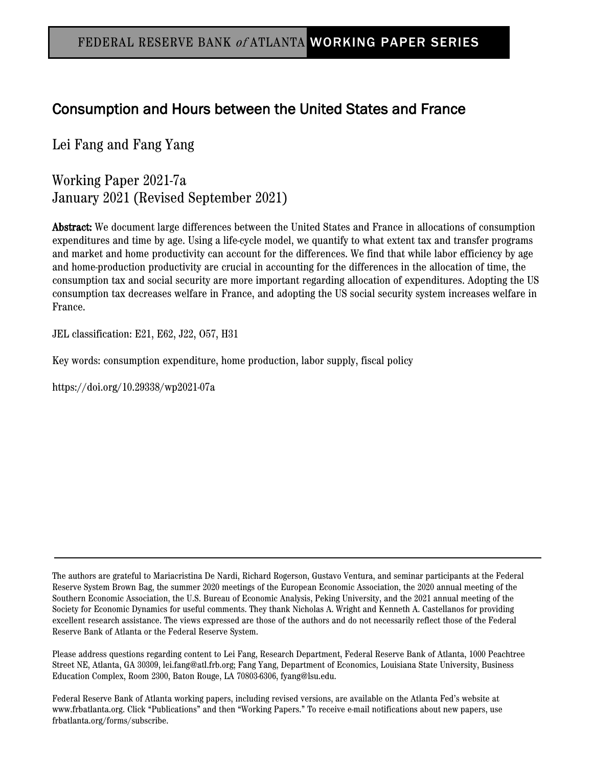# Consumption and Hours between the United States and France

Lei Fang and Fang Yang

Working Paper 2021-7a January 2021 (Revised September 2021)

Abstract: We document large differences between the United States and France in allocations of consumption expenditures and time by age. Using a life-cycle model, we quantify to what extent tax and transfer programs and market and home productivity can account for the differences. We find that while labor efficiency by age and home-production productivity are crucial in accounting for the differences in the allocation of time, the consumption tax and social security are more important regarding allocation of expenditures. Adopting the US consumption tax decreases welfare in France, and adopting the US social security system increases welfare in France.

JEL classification: E21, E62, J22, O57, H31

Key words: consumption expenditure, home production, labor supply, fiscal policy

https://doi.org/10.29338/wp2021-07a

The authors are grateful to Mariacristina De Nardi, Richard Rogerson, Gustavo Ventura, and seminar participants at the Federal Reserve System Brown Bag, the summer 2020 meetings of the European Economic Association, the 2020 annual meeting of the Southern Economic Association, the U.S. Bureau of Economic Analysis, Peking University, and the 2021 annual meeting of the Society for Economic Dynamics for useful comments. They thank Nicholas A. Wright and Kenneth A. Castellanos for providing excellent research assistance. The views expressed are those of the authors and do not necessarily reflect those of the Federal Reserve Bank of Atlanta or the Federal Reserve System.

Please address questions regarding content to Lei Fang, Research Department, Federal Reserve Bank of Atlanta, 1000 Peachtree Street NE, Atlanta, GA 30309, lei.fang@atl.frb.org; Fang Yang, Department of Economics, Louisiana State University, Business Education Complex, Room 2300, Baton Rouge, LA 70803-6306, fyang@lsu.edu.

Federal Reserve Bank of Atlanta working papers, including revised versions, are available on the Atlanta Fed's website at www.frbatlanta.org. Click "Publications" and then "Working Papers." To receive e-mail notifications about new papers, use frbatlanta.org/forms/subscribe.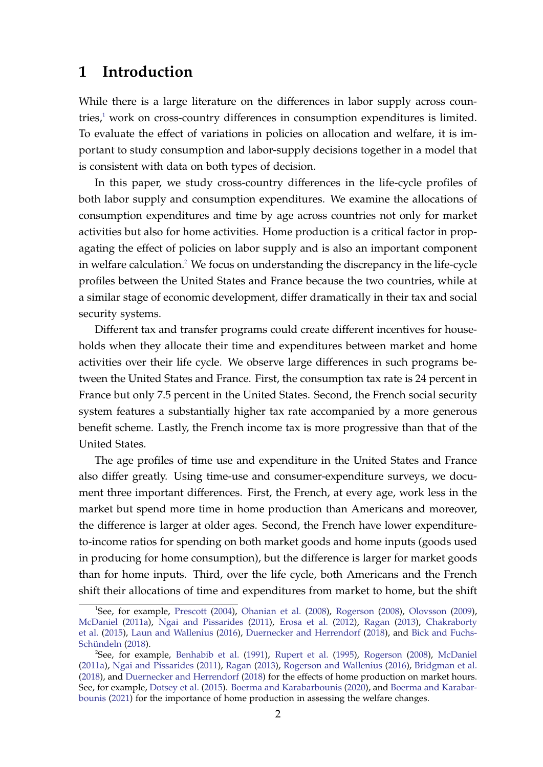# **1 Introduction**

While there is a large literature on the differences in labor supply across coun-tries,<sup>[1](#page-1-0)</sup> work on cross-country differences in consumption expenditures is limited. To evaluate the effect of variations in policies on allocation and welfare, it is important to study consumption and labor-supply decisions together in a model that is consistent with data on both types of decision.

In this paper, we study cross-country differences in the life-cycle profiles of both labor supply and consumption expenditures. We examine the allocations of consumption expenditures and time by age across countries not only for market activities but also for home activities. Home production is a critical factor in propagating the effect of policies on labor supply and is also an important component in welfare calculation.<sup>[2](#page-1-1)</sup> We focus on understanding the discrepancy in the life-cycle profiles between the United States and France because the two countries, while at a similar stage of economic development, differ dramatically in their tax and social security systems.

Different tax and transfer programs could create different incentives for households when they allocate their time and expenditures between market and home activities over their life cycle. We observe large differences in such programs between the United States and France. First, the consumption tax rate is 24 percent in France but only 7.5 percent in the United States. Second, the French social security system features a substantially higher tax rate accompanied by a more generous benefit scheme. Lastly, the French income tax is more progressive than that of the United States.

The age profiles of time use and expenditure in the United States and France also differ greatly. Using time-use and consumer-expenditure surveys, we document three important differences. First, the French, at every age, work less in the market but spend more time in home production than Americans and moreover, the difference is larger at older ages. Second, the French have lower expenditureto-income ratios for spending on both market goods and home inputs (goods used in producing for home consumption), but the difference is larger for market goods than for home inputs. Third, over the life cycle, both Americans and the French shift their allocations of time and expenditures from market to home, but the shift

<span id="page-1-0"></span><sup>&</sup>lt;sup>1</sup>See, for example, [Prescott](#page-37-0) [\(2004\)](#page-37-0), [Ohanian et al.](#page-37-1) [\(2008\)](#page-38-0), [Rogerson](#page-38-0) (2008), [Olovsson](#page-37-2) [\(2009\)](#page-37-2), [McDaniel](#page-37-3) [\(2011a\)](#page-37-3), [Ngai and Pissarides](#page-37-4) [\(2011\)](#page-37-4), [Erosa et al.](#page-36-0) [\(2012\)](#page-36-0), [Ragan](#page-37-5) [\(2013\)](#page-37-5), [Chakraborty](#page-35-0) [et al.](#page-35-0) [\(2015\)](#page-35-0), [Laun and Wallenius](#page-37-6) [\(2016\)](#page-37-6), [Duernecker and Herrendorf](#page-36-1) [\(2018\)](#page-36-1), and [Bick and Fuchs-](#page-35-1)[Schündeln](#page-35-1) [\(2018\)](#page-35-1).

<span id="page-1-1"></span><sup>2</sup> See, for example, [Benhabib et al.](#page-35-2) [\(1991\)](#page-35-2), [Rupert et al.](#page-38-1) [\(1995\)](#page-38-1), [Rogerson](#page-38-0) [\(2008\)](#page-38-0), [McDaniel](#page-37-3) [\(2011a\)](#page-37-3), [Ngai and Pissarides](#page-37-4) [\(2011\)](#page-37-4), [Ragan](#page-37-5) [\(2013\)](#page-37-5), [Rogerson and Wallenius](#page-38-2) [\(2016\)](#page-38-2), [Bridgman et al.](#page-35-3) [\(2018\)](#page-35-3), and [Duernecker and Herrendorf](#page-36-1) [\(2018\)](#page-36-1) for the effects of home production on market hours. See, for example, [Dotsey et al.](#page-36-2) [\(2015\)](#page-36-2). [Boerma and Karabarbounis](#page-35-4) [\(2020\)](#page-35-4), and [Boerma and Karabar](#page-35-5)[bounis](#page-35-5) [\(2021\)](#page-35-5) for the importance of home production in assessing the welfare changes.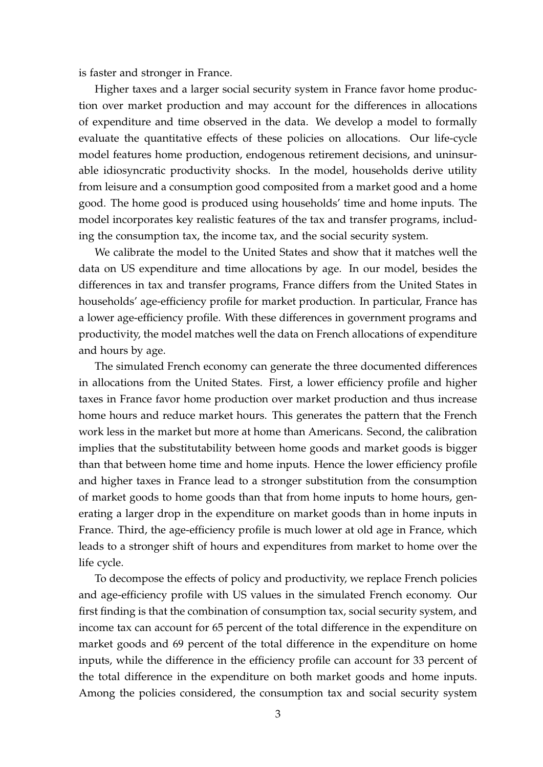is faster and stronger in France.

Higher taxes and a larger social security system in France favor home production over market production and may account for the differences in allocations of expenditure and time observed in the data. We develop a model to formally evaluate the quantitative effects of these policies on allocations. Our life-cycle model features home production, endogenous retirement decisions, and uninsurable idiosyncratic productivity shocks. In the model, households derive utility from leisure and a consumption good composited from a market good and a home good. The home good is produced using households' time and home inputs. The model incorporates key realistic features of the tax and transfer programs, including the consumption tax, the income tax, and the social security system.

We calibrate the model to the United States and show that it matches well the data on US expenditure and time allocations by age. In our model, besides the differences in tax and transfer programs, France differs from the United States in households' age-efficiency profile for market production. In particular, France has a lower age-efficiency profile. With these differences in government programs and productivity, the model matches well the data on French allocations of expenditure and hours by age.

The simulated French economy can generate the three documented differences in allocations from the United States. First, a lower efficiency profile and higher taxes in France favor home production over market production and thus increase home hours and reduce market hours. This generates the pattern that the French work less in the market but more at home than Americans. Second, the calibration implies that the substitutability between home goods and market goods is bigger than that between home time and home inputs. Hence the lower efficiency profile and higher taxes in France lead to a stronger substitution from the consumption of market goods to home goods than that from home inputs to home hours, generating a larger drop in the expenditure on market goods than in home inputs in France. Third, the age-efficiency profile is much lower at old age in France, which leads to a stronger shift of hours and expenditures from market to home over the life cycle.

To decompose the effects of policy and productivity, we replace French policies and age-efficiency profile with US values in the simulated French economy. Our first finding is that the combination of consumption tax, social security system, and income tax can account for 65 percent of the total difference in the expenditure on market goods and 69 percent of the total difference in the expenditure on home inputs, while the difference in the efficiency profile can account for 33 percent of the total difference in the expenditure on both market goods and home inputs. Among the policies considered, the consumption tax and social security system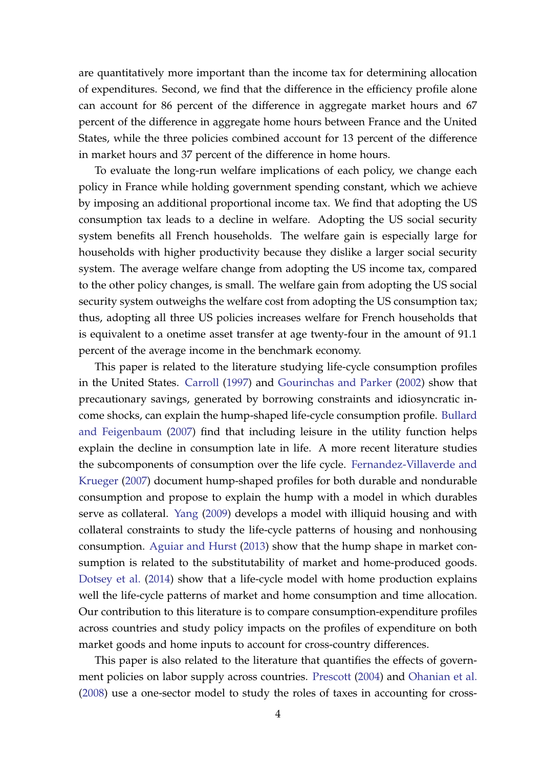are quantitatively more important than the income tax for determining allocation of expenditures. Second, we find that the difference in the efficiency profile alone can account for 86 percent of the difference in aggregate market hours and 67 percent of the difference in aggregate home hours between France and the United States, while the three policies combined account for 13 percent of the difference in market hours and 37 percent of the difference in home hours.

To evaluate the long-run welfare implications of each policy, we change each policy in France while holding government spending constant, which we achieve by imposing an additional proportional income tax. We find that adopting the US consumption tax leads to a decline in welfare. Adopting the US social security system benefits all French households. The welfare gain is especially large for households with higher productivity because they dislike a larger social security system. The average welfare change from adopting the US income tax, compared to the other policy changes, is small. The welfare gain from adopting the US social security system outweighs the welfare cost from adopting the US consumption tax; thus, adopting all three US policies increases welfare for French households that is equivalent to a onetime asset transfer at age twenty-four in the amount of 91.1 percent of the average income in the benchmark economy.

This paper is related to the literature studying life-cycle consumption profiles in the United States. [Carroll](#page-35-6) [\(1997\)](#page-35-6) and [Gourinchas and Parker](#page-36-3) [\(2002\)](#page-36-3) show that precautionary savings, generated by borrowing constraints and idiosyncratic income shocks, can explain the hump-shaped life-cycle consumption profile. [Bullard](#page-35-7) [and Feigenbaum](#page-35-7) [\(2007\)](#page-35-7) find that including leisure in the utility function helps explain the decline in consumption late in life. A more recent literature studies the subcomponents of consumption over the life cycle. [Fernandez-Villaverde and](#page-36-4) [Krueger](#page-36-4) [\(2007\)](#page-36-4) document hump-shaped profiles for both durable and nondurable consumption and propose to explain the hump with a model in which durables serve as collateral. [Yang](#page-38-3) [\(2009\)](#page-38-3) develops a model with illiquid housing and with collateral constraints to study the life-cycle patterns of housing and nonhousing consumption. [Aguiar and Hurst](#page-35-8) [\(2013\)](#page-35-8) show that the hump shape in market consumption is related to the substitutability of market and home-produced goods. [Dotsey et al.](#page-36-5) [\(2014\)](#page-36-5) show that a life-cycle model with home production explains well the life-cycle patterns of market and home consumption and time allocation. Our contribution to this literature is to compare consumption-expenditure profiles across countries and study policy impacts on the profiles of expenditure on both market goods and home inputs to account for cross-country differences.

This paper is also related to the literature that quantifies the effects of government policies on labor supply across countries. [Prescott](#page-37-0) [\(2004\)](#page-37-0) and [Ohanian et al.](#page-37-1) [\(2008\)](#page-37-1) use a one-sector model to study the roles of taxes in accounting for cross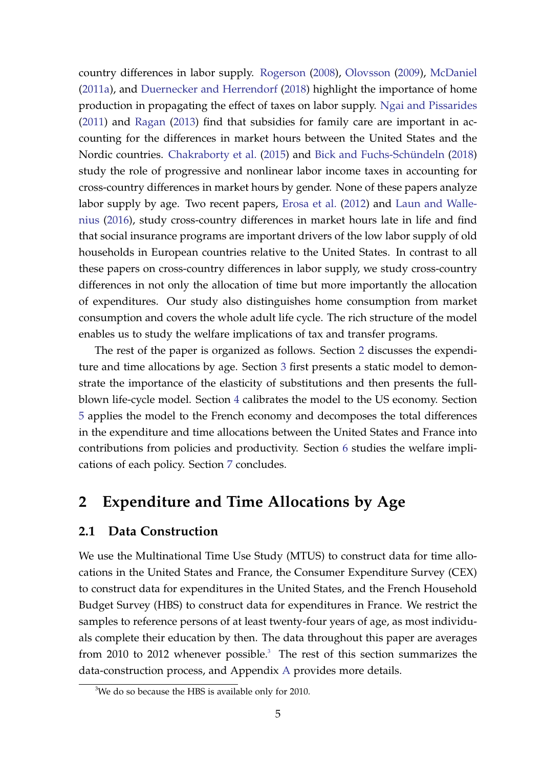country differences in labor supply. [Rogerson](#page-38-0) [\(2008\)](#page-38-0), [Olovsson](#page-37-2) [\(2009\)](#page-37-2), [McDaniel](#page-37-3) [\(2011a\)](#page-37-3), and [Duernecker and Herrendorf](#page-36-1) [\(2018\)](#page-36-1) highlight the importance of home production in propagating the effect of taxes on labor supply. [Ngai and Pissarides](#page-37-4) [\(2011\)](#page-37-4) and [Ragan](#page-37-5) [\(2013\)](#page-37-5) find that subsidies for family care are important in accounting for the differences in market hours between the United States and the Nordic countries. [Chakraborty et al.](#page-35-0) [\(2015\)](#page-35-0) and [Bick and Fuchs-Schündeln](#page-35-1) [\(2018\)](#page-35-1) study the role of progressive and nonlinear labor income taxes in accounting for cross-country differences in market hours by gender. None of these papers analyze labor supply by age. Two recent papers, [Erosa et al.](#page-36-0) [\(2012\)](#page-36-0) and [Laun and Walle](#page-37-6)[nius](#page-37-6) [\(2016\)](#page-37-6), study cross-country differences in market hours late in life and find that social insurance programs are important drivers of the low labor supply of old households in European countries relative to the United States. In contrast to all these papers on cross-country differences in labor supply, we study cross-country differences in not only the allocation of time but more importantly the allocation of expenditures. Our study also distinguishes home consumption from market consumption and covers the whole adult life cycle. The rich structure of the model enables us to study the welfare implications of tax and transfer programs.

The rest of the paper is organized as follows. Section [2](#page-4-0) discusses the expenditure and time allocations by age. Section [3](#page-8-0) first presents a static model to demonstrate the importance of the elasticity of substitutions and then presents the fullblown life-cycle model. Section [4](#page-14-0) calibrates the model to the US economy. Section [5](#page-19-0) applies the model to the French economy and decomposes the total differences in the expenditure and time allocations between the United States and France into contributions from policies and productivity. Section [6](#page-29-0) studies the welfare implications of each policy. Section [7](#page-33-0) concludes.

# <span id="page-4-0"></span>**2 Expenditure and Time Allocations by Age**

## <span id="page-4-2"></span>**2.1 Data Construction**

We use the Multinational Time Use Study (MTUS) to construct data for time allocations in the United States and France, the Consumer Expenditure Survey (CEX) to construct data for expenditures in the United States, and the French Household Budget Survey (HBS) to construct data for expenditures in France. We restrict the samples to reference persons of at least twenty-four years of age, as most individuals complete their education by then. The data throughout this paper are averages from 2010 to 2012 whenever possible.<sup>[3](#page-4-1)</sup> The rest of this section summarizes the data-construction process, and Appendix [A](#page-39-0) provides more details.

<span id="page-4-1"></span><sup>&</sup>lt;sup>3</sup>We do so because the HBS is available only for 2010.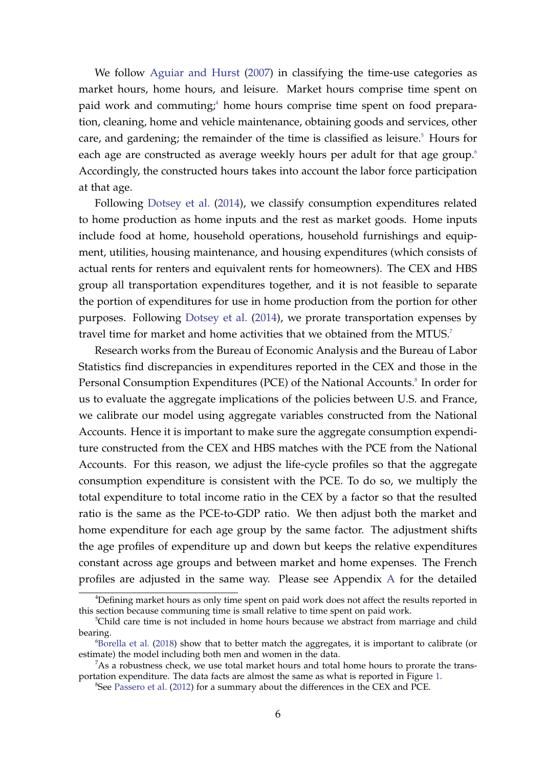We follow [Aguiar and Hurst](#page-35-9) [\(2007\)](#page-35-9) in classifying the time-use categories as market hours, home hours, and leisure. Market hours comprise time spent on paid work and commuting;<sup>[4](#page-5-0)</sup> home hours comprise time spent on food preparation, cleaning, home and vehicle maintenance, obtaining goods and services, other care, and gardening; the remainder of the time is classified as leisure. $5$  Hours for each age are constructed as average weekly hours per adult for that age group.<sup>[6](#page-5-2)</sup> Accordingly, the constructed hours takes into account the labor force participation at that age.

Following [Dotsey et al.](#page-36-5) [\(2014\)](#page-36-5), we classify consumption expenditures related to home production as home inputs and the rest as market goods. Home inputs include food at home, household operations, household furnishings and equipment, utilities, housing maintenance, and housing expenditures (which consists of actual rents for renters and equivalent rents for homeowners). The CEX and HBS group all transportation expenditures together, and it is not feasible to separate the portion of expenditures for use in home production from the portion for other purposes. Following [Dotsey et al.](#page-36-5) [\(2014\)](#page-36-5), we prorate transportation expenses by travel time for market and home activities that we obtained from the MTUS.<sup>[7](#page-5-3)</sup>

Research works from the Bureau of Economic Analysis and the Bureau of Labor Statistics find discrepancies in expenditures reported in the CEX and those in the Personal Consumption Expenditures (PCE) of the National Accounts.<sup>[8](#page-5-4)</sup> In order for us to evaluate the aggregate implications of the policies between U.S. and France, we calibrate our model using aggregate variables constructed from the National Accounts. Hence it is important to make sure the aggregate consumption expenditure constructed from the CEX and HBS matches with the PCE from the National Accounts. For this reason, we adjust the life-cycle profiles so that the aggregate consumption expenditure is consistent with the PCE. To do so, we multiply the total expenditure to total income ratio in the CEX by a factor so that the resulted ratio is the same as the PCE-to-GDP ratio. We then adjust both the market and home expenditure for each age group by the same factor. The adjustment shifts the age profiles of expenditure up and down but keeps the relative expenditures constant across age groups and between market and home expenses. The French profiles are adjusted in the same way. Please see Appendix [A](#page-39-0) for the detailed

<span id="page-5-0"></span><sup>4</sup>Defining market hours as only time spent on paid work does not affect the results reported in this section because communing time is small relative to time spent on paid work.

<span id="page-5-1"></span><sup>&</sup>lt;sup>5</sup>Child care time is not included in home hours because we abstract from marriage and child bearing.

<span id="page-5-2"></span> $6Borella$  et al. [\(2018\)](#page-35-10) show that to better match the aggregates, it is important to calibrate (or estimate) the model including both men and women in the data.

<span id="page-5-3"></span> $7$ As a robustness check, we use total market hours and total home hours to prorate the transportation expenditure. The data facts are almost the same as what is reported in Figure [1.](#page-6-0)

<span id="page-5-4"></span><sup>&</sup>lt;sup>8</sup>See [Passero et al.](#page-37-7) [\(2012\)](#page-37-7) for a summary about the differences in the CEX and PCE.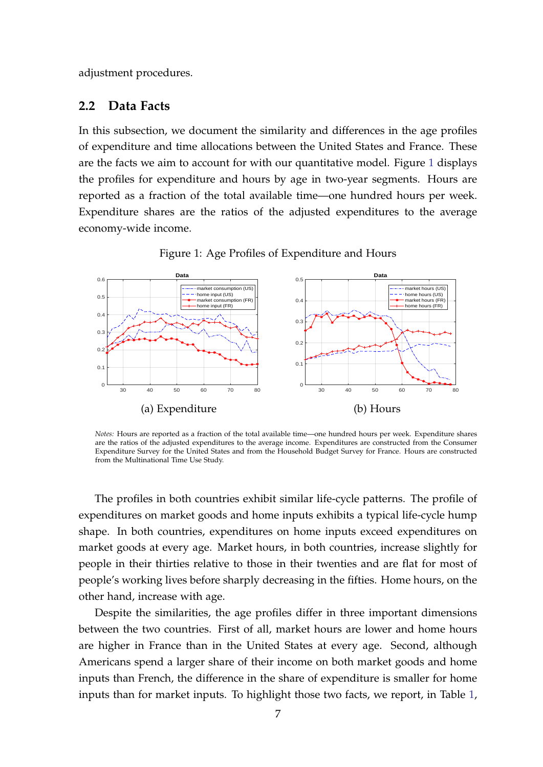adjustment procedures.

#### <span id="page-6-1"></span>**2.2 Data Facts**

In this subsection, we document the similarity and differences in the age profiles of expenditure and time allocations between the United States and France. These are the facts we aim to account for with our quantitative model. Figure [1](#page-6-0) displays the profiles for expenditure and hours by age in two-year segments. Hours are reported as a fraction of the total available time—one hundred hours per week. Expenditure shares are the ratios of the adjusted expenditures to the average economy-wide income.

<span id="page-6-0"></span>

Figure 1: Age Profiles of Expenditure and Hours

*Notes:* Hours are reported as a fraction of the total available time—one hundred hours per week. Expenditure shares are the ratios of the adjusted expenditures to the average income. Expenditures are constructed from the Consumer Expenditure Survey for the United States and from the Household Budget Survey for France. Hours are constructed from the Multinational Time Use Study.

The profiles in both countries exhibit similar life-cycle patterns. The profile of expenditures on market goods and home inputs exhibits a typical life-cycle hump shape. In both countries, expenditures on home inputs exceed expenditures on market goods at every age. Market hours, in both countries, increase slightly for people in their thirties relative to those in their twenties and are flat for most of people's working lives before sharply decreasing in the fifties. Home hours, on the other hand, increase with age.

Despite the similarities, the age profiles differ in three important dimensions between the two countries. First of all, market hours are lower and home hours are higher in France than in the United States at every age. Second, although Americans spend a larger share of their income on both market goods and home inputs than French, the difference in the share of expenditure is smaller for home inputs than for market inputs. To highlight those two facts, we report, in Table [1,](#page-7-0)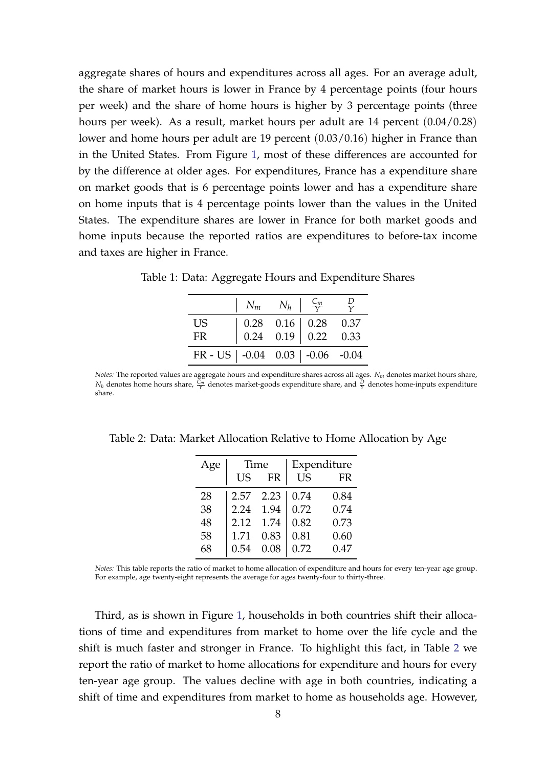aggregate shares of hours and expenditures across all ages. For an average adult, the share of market hours is lower in France by 4 percentage points (four hours per week) and the share of home hours is higher by 3 percentage points (three hours per week). As a result, market hours per adult are 14 percent (0.04/0.28) lower and home hours per adult are 19 percent (0.03/0.16) higher in France than in the United States. From Figure [1,](#page-6-0) most of these differences are accounted for by the difference at older ages. For expenditures, France has a expenditure share on market goods that is 6 percentage points lower and has a expenditure share on home inputs that is 4 percentage points lower than the values in the United States. The expenditure shares are lower in France for both market goods and home inputs because the reported ratios are expenditures to before-tax income and taxes are higher in France.

|                                                | $\mid N_m N_h \mid \frac{C_m}{V}$                                                                                         |  | $\frac{D}{V}$ |
|------------------------------------------------|---------------------------------------------------------------------------------------------------------------------------|--|---------------|
| <b>US</b>                                      | $\begin{array}{ c c c c c c } \hline 0.28 & 0.16 & 0.28 & 0.37 \\ \hline 0.24 & 0.19 & 0.22 & 0.33 \\ \hline \end{array}$ |  |               |
| FR.                                            |                                                                                                                           |  |               |
| FR - US $\vert$ -0.04 0.03 $\vert$ -0.06 -0.04 |                                                                                                                           |  |               |

<span id="page-7-0"></span>Table 1: Data: Aggregate Hours and Expenditure Shares

*Notes:* The reported values are aggregate hours and expenditure shares across all ages. *N<sup>m</sup>* denotes market hours share,  $N_h$  denotes home hours share,  $\frac{C_m}{Y}$  denotes market-goods expenditure share, and  $\frac{D}{Y}$  denotes home-inputs expenditure share.

| Age | Time |      |           | Expenditure |
|-----|------|------|-----------|-------------|
|     | US   | FR   | <b>US</b> | FR          |
| 28  | 2.57 | 2.23 | 0.74      | 0.84        |
| 38  | 2.24 | 1.94 | 0.72      | 0.74        |
| 48  | 2.12 | 1.74 | 0.82      | 0.73        |
| 58  | 1.71 | 0.83 | 0.81      | 0.60        |
| 68  | 0.54 | 0.08 | 0.72      | 0.47        |

<span id="page-7-1"></span>Table 2: Data: Market Allocation Relative to Home Allocation by Age

*Notes:* This table reports the ratio of market to home allocation of expenditure and hours for every ten-year age group. For example, age twenty-eight represents the average for ages twenty-four to thirty-three.

Third, as is shown in Figure [1,](#page-6-0) households in both countries shift their allocations of time and expenditures from market to home over the life cycle and the shift is much faster and stronger in France. To highlight this fact, in Table [2](#page-7-1) we report the ratio of market to home allocations for expenditure and hours for every ten-year age group. The values decline with age in both countries, indicating a shift of time and expenditures from market to home as households age. However,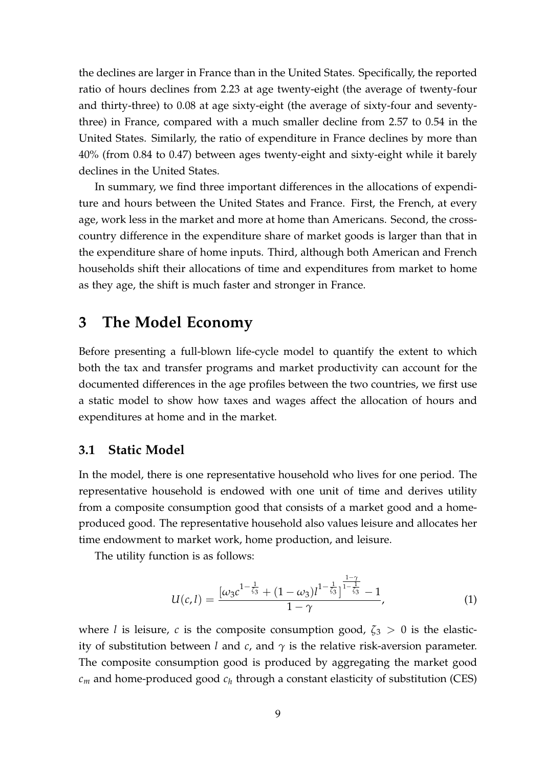the declines are larger in France than in the United States. Specifically, the reported ratio of hours declines from 2.23 at age twenty-eight (the average of twenty-four and thirty-three) to 0.08 at age sixty-eight (the average of sixty-four and seventythree) in France, compared with a much smaller decline from 2.57 to 0.54 in the United States. Similarly, the ratio of expenditure in France declines by more than 40% (from 0.84 to 0.47) between ages twenty-eight and sixty-eight while it barely declines in the United States.

In summary, we find three important differences in the allocations of expenditure and hours between the United States and France. First, the French, at every age, work less in the market and more at home than Americans. Second, the crosscountry difference in the expenditure share of market goods is larger than that in the expenditure share of home inputs. Third, although both American and French households shift their allocations of time and expenditures from market to home as they age, the shift is much faster and stronger in France.

# <span id="page-8-0"></span>**3 The Model Economy**

Before presenting a full-blown life-cycle model to quantify the extent to which both the tax and transfer programs and market productivity can account for the documented differences in the age profiles between the two countries, we first use a static model to show how taxes and wages affect the allocation of hours and expenditures at home and in the market.

#### **3.1 Static Model**

In the model, there is one representative household who lives for one period. The representative household is endowed with one unit of time and derives utility from a composite consumption good that consists of a market good and a homeproduced good. The representative household also values leisure and allocates her time endowment to market work, home production, and leisure.

The utility function is as follows:

$$
U(c, l) = \frac{\left[\omega_3 c^{1 - \frac{1}{\zeta_3}} + (1 - \omega_3)l^{1 - \frac{1}{\zeta_3}}\right]^{\frac{1 - \gamma}{1 - \frac{1}{\zeta_3}}} - 1}{1 - \gamma},
$$
\n(1)

where *l* is leisure, *c* is the composite consumption good,  $\zeta_3 > 0$  is the elasticity of substitution between *l* and *c*, and  $\gamma$  is the relative risk-aversion parameter. The composite consumption good is produced by aggregating the market good  $c_m$  and home-produced good  $c_h$  through a constant elasticity of substitution (CES)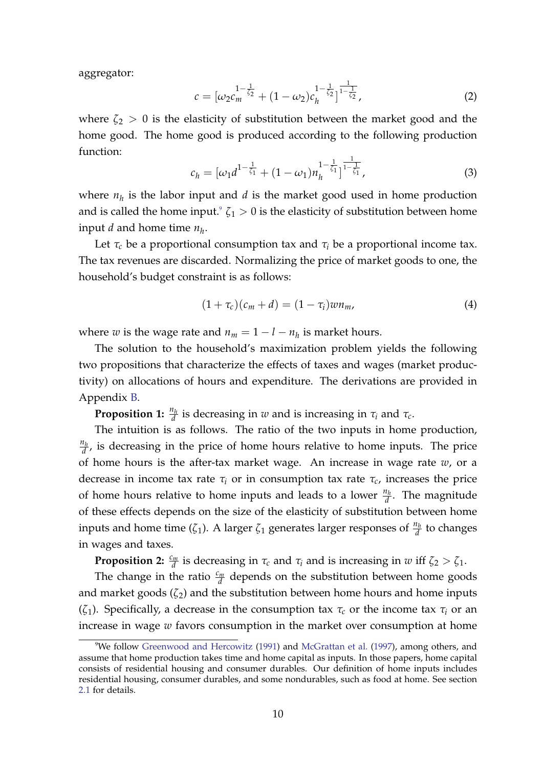aggregator:

<span id="page-9-1"></span>
$$
c = \left[\omega_2 c_m^{\frac{1-\frac{1}{\zeta_2}}}{\zeta_2} + (1-\omega_2) c_h^{\frac{1-\frac{1}{\zeta_2}}{\zeta_2}}\right]_{\frac{1-\frac{1}{\zeta_2}}{\zeta_2}},\tag{2}
$$

where  $\zeta_2 > 0$  is the elasticity of substitution between the market good and the home good. The home good is produced according to the following production function:

<span id="page-9-2"></span>
$$
c_h = [\omega_1 d^{1-\frac{1}{\zeta_1}} + (1-\omega_1)n_h^{1-\frac{1}{\zeta_1}}]^{\frac{1}{1-\frac{1}{\zeta_1}}},
$$
(3)

where  $n_h$  is the labor input and  $d$  is the market good used in home production and is called the home input.<sup>[9](#page-9-0)</sup>  $\zeta_1 > 0$  is the elasticity of substitution between home input *d* and home time *n<sup>h</sup>* .

Let  $\tau_c$  be a proportional consumption tax and  $\tau_i$  be a proportional income tax. The tax revenues are discarded. Normalizing the price of market goods to one, the household's budget constraint is as follows:

$$
(1+\tau_c)(c_m+d)=(1-\tau_i)wn_m,\qquad \qquad (4)
$$

where *w* is the wage rate and  $n_m = 1 - l - n_h$  is market hours.

The solution to the household's maximization problem yields the following two propositions that characterize the effects of taxes and wages (market productivity) on allocations of hours and expenditure. The derivations are provided in Appendix [B.](#page-43-0)

**Proposition 1:**  $\frac{n_h}{d}$  is decreasing in *w* and is increasing in  $\tau_i$  and  $\tau_c$ .

The intuition is as follows. The ratio of the two inputs in home production, *nh*  $\frac{d_h}{d}$ , is decreasing in the price of home hours relative to home inputs. The price of home hours is the after-tax market wage. An increase in wage rate *w*, or a decrease in income tax rate  $\tau$ <sup>*i*</sup> or in consumption tax rate  $\tau$ <sup>*c*</sup>, increases the price of home hours relative to home inputs and leads to a lower  $\frac{n_h}{d}$ . The magnitude of these effects depends on the size of the elasticity of substitution between home inputs and home time ( $\zeta_1$ ). A larger  $\zeta_1$  generates larger responses of  $\frac{n_h}{d}$  to changes in wages and taxes.

**Proposition 2:**  $\frac{c_m}{d}$  is decreasing in  $\tau_c$  and  $\tau_i$  and is increasing in *w* iff  $\zeta_2 > \zeta_1$ .

The change in the ratio  $\frac{c_m}{d}$  depends on the substitution between home goods and market goods  $(\zeta_2)$  and the substitution between home hours and home inputs (*ζ*1). Specifically, a decrease in the consumption tax *τ<sup>c</sup>* or the income tax *τ<sup>i</sup>* or an increase in wage *w* favors consumption in the market over consumption at home

<span id="page-9-0"></span><sup>9</sup>We follow [Greenwood and Hercowitz](#page-36-6) [\(1991\)](#page-36-6) and [McGrattan et al.](#page-37-8) [\(1997\)](#page-37-8), among others, and assume that home production takes time and home capital as inputs. In those papers, home capital consists of residential housing and consumer durables. Our definition of home inputs includes residential housing, consumer durables, and some nondurables, such as food at home. See section [2.1](#page-4-2) for details.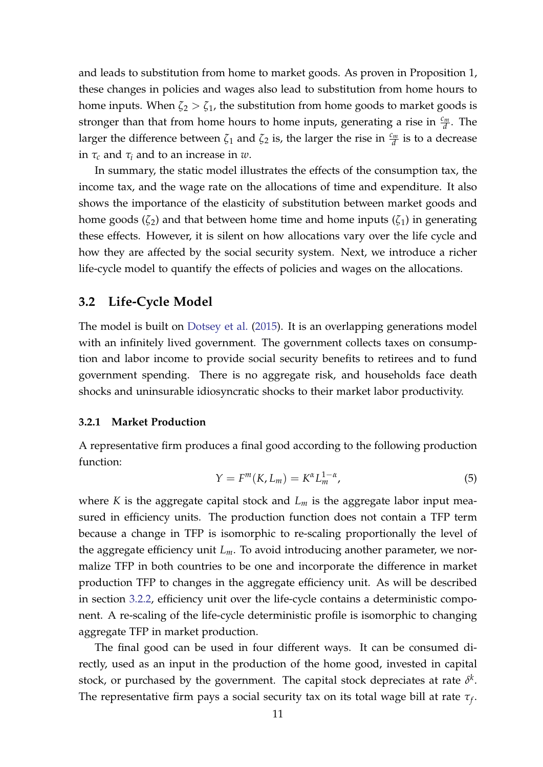and leads to substitution from home to market goods. As proven in Proposition 1, these changes in policies and wages also lead to substitution from home hours to home inputs. When  $\zeta_2 > \zeta_1$ , the substitution from home goods to market goods is stronger than that from home hours to home inputs, generating a rise in  $\frac{c_m}{d}$ . The larger the difference between  $\zeta_1$  and  $\zeta_2$  is, the larger the rise in  $\frac{c_m}{d}$  is to a decrease in *τ<sup>c</sup>* and *τ<sup>i</sup>* and to an increase in *w*.

In summary, the static model illustrates the effects of the consumption tax, the income tax, and the wage rate on the allocations of time and expenditure. It also shows the importance of the elasticity of substitution between market goods and home goods  $(\zeta_2)$  and that between home time and home inputs  $(\zeta_1)$  in generating these effects. However, it is silent on how allocations vary over the life cycle and how they are affected by the social security system. Next, we introduce a richer life-cycle model to quantify the effects of policies and wages on the allocations.

#### **3.2 Life-Cycle Model**

The model is built on [Dotsey et al.](#page-36-2) [\(2015\)](#page-36-2). It is an overlapping generations model with an infinitely lived government. The government collects taxes on consumption and labor income to provide social security benefits to retirees and to fund government spending. There is no aggregate risk, and households face death shocks and uninsurable idiosyncratic shocks to their market labor productivity.

#### <span id="page-10-0"></span>**3.2.1 Market Production**

A representative firm produces a final good according to the following production function:

$$
Y = F^m(K, L_m) = K^{\alpha} L_m^{1-\alpha},\tag{5}
$$

where *K* is the aggregate capital stock and *L<sup>m</sup>* is the aggregate labor input measured in efficiency units. The production function does not contain a TFP term because a change in TFP is isomorphic to re-scaling proportionally the level of the aggregate efficiency unit *Lm*. To avoid introducing another parameter, we normalize TFP in both countries to be one and incorporate the difference in market production TFP to changes in the aggregate efficiency unit. As will be described in section [3.2.2,](#page-11-0) efficiency unit over the life-cycle contains a deterministic component. A re-scaling of the life-cycle deterministic profile is isomorphic to changing aggregate TFP in market production.

The final good can be used in four different ways. It can be consumed directly, used as an input in the production of the home good, invested in capital stock, or purchased by the government. The capital stock depreciates at rate  $\delta^k$ . The representative firm pays a social security tax on its total wage bill at rate *τ<sup>f</sup>* .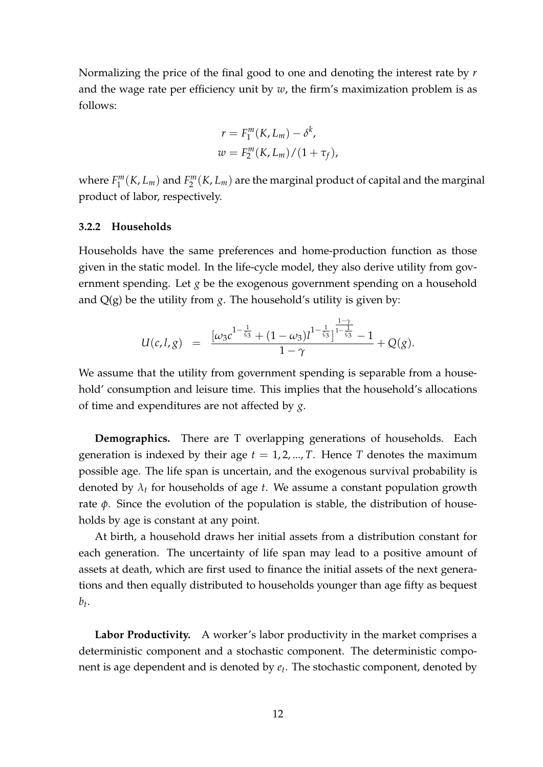Normalizing the price of the final good to one and denoting the interest rate by *r* and the wage rate per efficiency unit by *w*, the firm's maximization problem is as follows:

$$
r = F_1^m(K, L_m) - \delta^k,
$$
  

$$
w = F_2^m(K, L_m) / (1 + \tau_f),
$$

where  $F_1^m$  $T_1^m(K,L_m)$  and  $F_2^m$ 2 (*K*, *Lm*) are the marginal product of capital and the marginal product of labor, respectively.

#### <span id="page-11-0"></span>**3.2.2 Households**

Households have the same preferences and home-production function as those given in the static model. In the life-cycle model, they also derive utility from government spending. Let *g* be the exogenous government spending on a household and  $Q(g)$  be the utility from *g*. The household's utility is given by:

$$
U(c, l, g) = \frac{[\omega_3 c^{1-\frac{1}{\zeta_3}} + (1-\omega_3)l^{1-\frac{1}{\zeta_3}}]^{\frac{1-\gamma}{1-\frac{1}{\zeta_3}}}-1}{1-\gamma} + Q(g).
$$

We assume that the utility from government spending is separable from a household' consumption and leisure time. This implies that the household's allocations of time and expenditures are not affected by *g*.

**Demographics.** There are T overlapping generations of households. Each generation is indexed by their age  $t = 1, 2, ..., T$ . Hence *T* denotes the maximum possible age. The life span is uncertain, and the exogenous survival probability is denoted by *λ<sup>t</sup>* for households of age *t*. We assume a constant population growth rate *φ*. Since the evolution of the population is stable, the distribution of households by age is constant at any point.

At birth, a household draws her initial assets from a distribution constant for each generation. The uncertainty of life span may lead to a positive amount of assets at death, which are first used to finance the initial assets of the next generations and then equally distributed to households younger than age fifty as bequest *bt* .

**Labor Productivity.** A worker's labor productivity in the market comprises a deterministic component and a stochastic component. The deterministic component is age dependent and is denoted by *e<sup>t</sup>* . The stochastic component, denoted by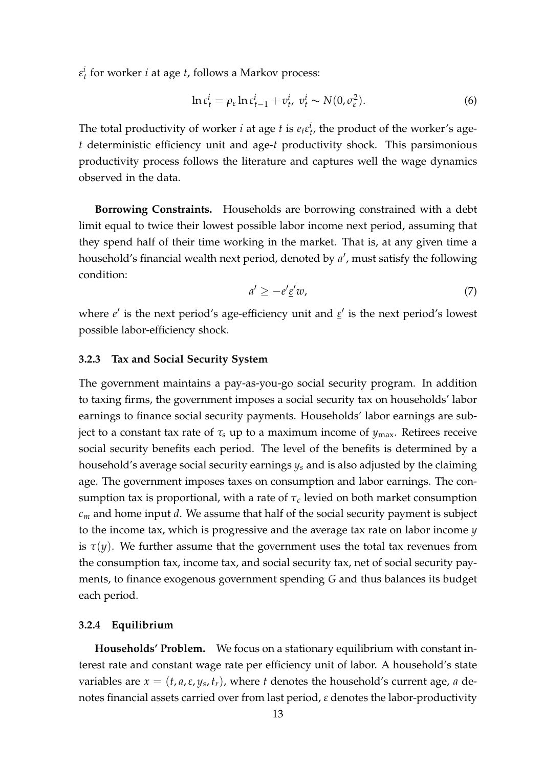*ε i t* for worker *i* at age *t*, follows a Markov process:

$$
\ln \varepsilon_t^i = \rho_\varepsilon \ln \varepsilon_{t-1}^i + v_t^i, \ v_t^i \sim N(0, \sigma_\varepsilon^2). \tag{6}
$$

The total productivity of worker *i* at age *t* is  $e_t e_t^i$ , the product of the worker's age*t* deterministic efficiency unit and age-*t* productivity shock. This parsimonious productivity process follows the literature and captures well the wage dynamics observed in the data.

**Borrowing Constraints.** Households are borrowing constrained with a debt limit equal to twice their lowest possible labor income next period, assuming that they spend half of their time working in the market. That is, at any given time a household's financial wealth next period, denoted by a', must satisfy the following condition:

<span id="page-12-0"></span>
$$
a' \ge -e' \underline{\epsilon}' w,\tag{7}
$$

where *e'* is the next period's age-efficiency unit and *ε'* is the next period's lowest possible labor-efficiency shock.

#### **3.2.3 Tax and Social Security System**

The government maintains a pay-as-you-go social security program. In addition to taxing firms, the government imposes a social security tax on households' labor earnings to finance social security payments. Households' labor earnings are subject to a constant tax rate of  $\tau_s$  up to a maximum income of  $y_{\text{max}}$ . Retirees receive social security benefits each period. The level of the benefits is determined by a household's average social security earnings *y<sup>s</sup>* and is also adjusted by the claiming age. The government imposes taxes on consumption and labor earnings. The consumption tax is proportional, with a rate of  $\tau_c$  levied on both market consumption *c<sup>m</sup>* and home input *d*. We assume that half of the social security payment is subject to the income tax, which is progressive and the average tax rate on labor income *y* is  $\tau(y)$ . We further assume that the government uses the total tax revenues from the consumption tax, income tax, and social security tax, net of social security payments, to finance exogenous government spending *G* and thus balances its budget each period.

#### **3.2.4 Equilibrium**

**Households' Problem.** We focus on a stationary equilibrium with constant interest rate and constant wage rate per efficiency unit of labor. A household's state variables are *x* = (*t*, *a*,*ε*, *y<sup>s</sup>* , *tr*), where *t* denotes the household's current age, *a* denotes financial assets carried over from last period, *ε* denotes the labor-productivity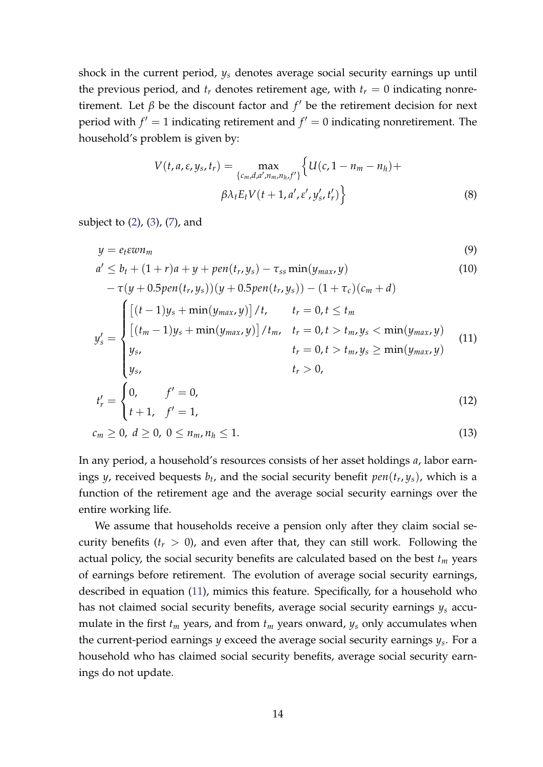shock in the current period, *y<sup>s</sup>* denotes average social security earnings up until the previous period, and  $t_r$  denotes retirement age, with  $t_r = 0$  indicating nonretirement. Let  $\beta$  be the discount factor and  $f'$  be the retirement decision for next period with  $f' = 1$  indicating retirement and  $f' = 0$  indicating nonretirement. The household's problem is given by:

<span id="page-13-0"></span>
$$
V(t, a, \varepsilon, y_s, t_r) = \max_{\{c_m, d, a', n_m, n_h, f'\}} \left\{ U(c, 1 - n_m - n_h) + \beta \lambda_t E_t V(t + 1, a', \varepsilon', y'_s, t'_r) \right\}
$$
(8)

subject to  $(2)$ ,  $(3)$ ,  $(7)$ , and

entire working life.

$$
y = e_{t} \varepsilon w n_{m}
$$
\n(9)  
\n
$$
a' \leq b_{t} + (1+r)a + y + pen(t_{r}, y_{s}) - \tau_{ss} \min(y_{max}, y)
$$
\n(10)  
\n
$$
-\tau(y + 0.5 pen(t_{r}, y_{s}))(y + 0.5 pen(t_{r}, y_{s})) - (1 + \tau_{c})(c_{m} + d)
$$
\n
$$
y'_{s} = \begin{cases}\n[(t-1)y_{s} + min(y_{max}, y)] / t, & t_{r} = 0, t \leq t_{m} \\
[(t_{m} - 1)y_{s} + min(y_{max}, y)] / t_{m}, & t_{r} = 0, t > t_{m}, y_{s} < min(y_{max}, y) \\
y_{s}, & t_{r} = 0, t > t_{m}, y_{s} \geq min(y_{max}, y) \\
y_{s}, & t_{r} > 0,\n\end{cases}
$$
\n(11)  
\n
$$
t'_{r} = \begin{cases}\n0, & f' = 0, \\
0, & f' = 1, \\
t + 1, & f' = 1,\n\end{cases}
$$
\n(12)  
\n
$$
c_{m} \geq 0, d \geq 0, 0 \leq n_{m}, n_{h} \leq 1.
$$
\n(13)

In any period, a household's resources consists of her asset holdings *a*, labor earnings *y*, received bequests 
$$
b_t
$$
, and the social security benefit  $pen(t_r, y_s)$ , which is a function of the retirement age and the average social security earnings over the

We assume that households receive a pension only after they claim social security benefits  $(t_r > 0)$ , and even after that, they can still work. Following the actual policy, the social security benefits are calculated based on the best *t<sup>m</sup>* years of earnings before retirement. The evolution of average social security earnings, described in equation [\(11\)](#page-13-0), mimics this feature. Specifically, for a household who has not claimed social security benefits, average social security earnings *y<sup>s</sup>* accumulate in the first  $t_m$  years, and from  $t_m$  years onward,  $y_s$  only accumulates when the current-period earnings *y* exceed the average social security earnings *y<sup>s</sup>* . For a household who has claimed social security benefits, average social security earnings do not update.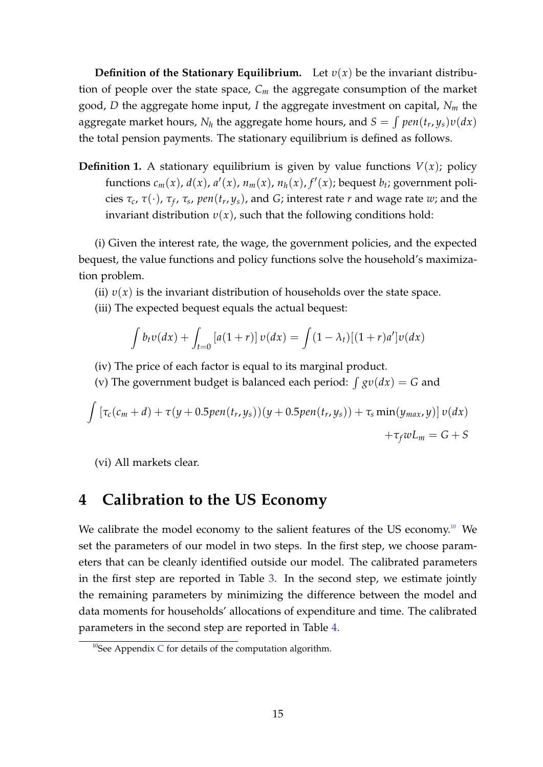**Definition of the Stationary Equilibrium.** Let  $v(x)$  be the invariant distribution of people over the state space, *C<sup>m</sup>* the aggregate consumption of the market good, *D* the aggregate home input, *I* the aggregate investment on capital, *N<sup>m</sup>* the  $\alpha$  aggregate market hours,  $N_h$  the aggregate home hours, and  $S = \int pen(t_r, y_s) v(dx)$ the total pension payments. The stationary equilibrium is defined as follows.

**Definition 1.** A stationary equilibrium is given by value functions  $V(x)$ ; policy functions  $c_m(x)$ ,  $d(x)$ ,  $a'(x)$ ,  $n_m(x)$ ,  $n_h(x)$ ,  $f'(x)$ ; bequest  $b_t$ ; government policies *τc*, *τ*(·), *τ<sup>f</sup>* , *τ<sup>s</sup>* , *pen*(*t<sup>r</sup>* , *ys*), and *G*; interest rate *r* and wage rate *w*; and the invariant distribution  $v(x)$ , such that the following conditions hold:

(i) Given the interest rate, the wage, the government policies, and the expected bequest, the value functions and policy functions solve the household's maximization problem.

- (ii)  $v(x)$  is the invariant distribution of households over the state space.
- (iii) The expected bequest equals the actual bequest:

$$
\int b_t v(dx) + \int_{t=0} [a(1+r)] v(dx) = \int (1-\lambda_t) [(1+r)a']v(dx)
$$

- (iv) The price of each factor is equal to its marginal product.
- (v) The government budget is balanced each period:  $\int g v(dx) = G$  and

$$
\int \left[ \tau_c(c_m + d) + \tau(y + 0.5pen(t_r, y_s))(y + 0.5pen(t_r, y_s)) + \tau_s \min(y_{max}, y) \right] v(dx) + \tau_f w L_m = G + S
$$

(vi) All markets clear.

# <span id="page-14-0"></span>**4 Calibration to the US Economy**

We calibrate the model economy to the salient features of the US economy.<sup>[10](#page-14-1)</sup> We set the parameters of our model in two steps. In the first step, we choose parameters that can be cleanly identified outside our model. The calibrated parameters in the first step are reported in Table [3.](#page-15-0) In the second step, we estimate jointly the remaining parameters by minimizing the difference between the model and data moments for households' allocations of expenditure and time. The calibrated parameters in the second step are reported in Table [4.](#page-18-0)

<span id="page-14-1"></span> $10$ See Appendix [C](#page-47-0) for details of the computation algorithm.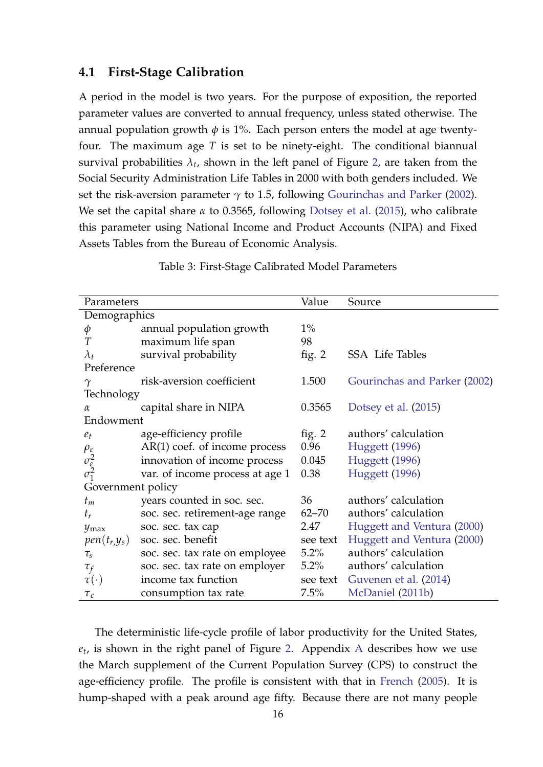## <span id="page-15-1"></span>**4.1 First-Stage Calibration**

A period in the model is two years. For the purpose of exposition, the reported parameter values are converted to annual frequency, unless stated otherwise. The annual population growth  $\phi$  is 1%. Each person enters the model at age twentyfour. The maximum age *T* is set to be ninety-eight. The conditional biannual survival probabilities  $\lambda_t$ , shown in the left panel of Figure [2,](#page-16-0) are taken from the Social Security Administration Life Tables in 2000 with both genders included. We set the risk-aversion parameter  $\gamma$  to 1.5, following [Gourinchas and Parker](#page-36-3) [\(2002\)](#page-36-3). We set the capital share *α* to 0.3565, following [Dotsey et al.](#page-36-2) [\(2015\)](#page-36-2), who calibrate this parameter using National Income and Product Accounts (NIPA) and Fixed Assets Tables from the Bureau of Economic Analysis.

<span id="page-15-0"></span>

| Parameters                                                 |                                 | Value     | Source                       |
|------------------------------------------------------------|---------------------------------|-----------|------------------------------|
| Demographics                                               |                                 |           |                              |
| φ                                                          | annual population growth        | $1\%$     |                              |
| $\overline{T}$                                             | maximum life span               | 98        |                              |
| $\lambda_t$                                                | survival probability            | fig. $2$  | <b>SSA</b> Life Tables       |
| Preference                                                 |                                 |           |                              |
| $\gamma$                                                   | risk-aversion coefficient       | 1.500     | Gourinchas and Parker (2002) |
| Technology                                                 |                                 |           |                              |
| $\alpha$                                                   | capital share in NIPA           | 0.3565    | Dotsey et al. (2015)         |
| Endowment                                                  |                                 |           |                              |
| $e_t$                                                      | age-efficiency profile          | fig. $2$  | authors' calculation         |
|                                                            | $AR(1)$ coef. of income process | 0.96      | <b>Huggett</b> (1996)        |
|                                                            | innovation of income process    | 0.045     | <b>Huggett</b> (1996)        |
| $\rho_{\varepsilon}$ $\sigma_{\varepsilon}^2$ $\sigma_1^2$ | var. of income process at age 1 | 0.38      | Huggett (1996)               |
| Government policy                                          |                                 |           |                              |
| $t_m$                                                      | years counted in soc. sec.      | 36        | authors' calculation         |
| $t_r$                                                      | soc. sec. retirement-age range  | $62 - 70$ | authors' calculation         |
| $y_{\rm max}$                                              | soc. sec. tax cap               | 2.47      | Huggett and Ventura (2000)   |
| $pen(t_r,y_s)$                                             | soc. sec. benefit               | see text  | Huggett and Ventura (2000)   |
| $\tau_{s}$                                                 | soc. sec. tax rate on employee  | $5.2\%$   | authors' calculation         |
| $\tau_f$                                                   | soc. sec. tax rate on employer  | $5.2\%$   | authors' calculation         |
| $\tau(\cdot)$                                              | income tax function             | see text  | Guvenen et al. (2014)        |
| $\tau_c$                                                   | consumption tax rate            | $7.5\%$   | McDaniel (2011b)             |

Table 3: First-Stage Calibrated Model Parameters

The deterministic life-cycle profile of labor productivity for the United States, *et* , is shown in the right panel of Figure [2.](#page-16-0) Appendix [A](#page-39-0) describes how we use the March supplement of the Current Population Survey (CPS) to construct the age-efficiency profile. The profile is consistent with that in [French](#page-36-10) [\(2005\)](#page-36-10). It is hump-shaped with a peak around age fifty. Because there are not many people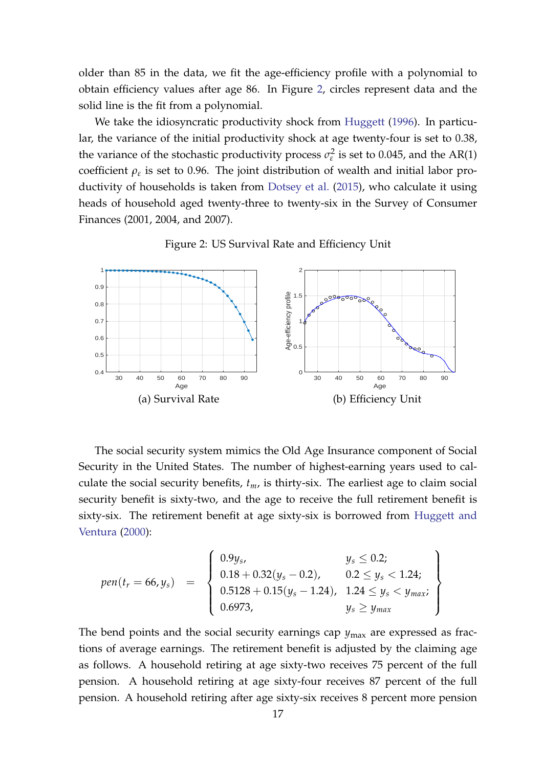older than 85 in the data, we fit the age-efficiency profile with a polynomial to obtain efficiency values after age 86. In Figure [2,](#page-16-0) circles represent data and the solid line is the fit from a polynomial.

We take the idiosyncratic productivity shock from [Huggett](#page-36-7) [\(1996\)](#page-36-7). In particular, the variance of the initial productivity shock at age twenty-four is set to 0.38, the variance of the stochastic productivity process  $\sigma_{\varepsilon}^2$  $\frac{1}{ε}$  is set to 0.045, and the AR(1) coefficient *ρ<sup>ε</sup>* is set to 0.96. The joint distribution of wealth and initial labor productivity of households is taken from [Dotsey et al.](#page-36-2) [\(2015\)](#page-36-2), who calculate it using heads of household aged twenty-three to twenty-six in the Survey of Consumer Finances (2001, 2004, and 2007).

<span id="page-16-0"></span>

Figure 2: US Survival Rate and Efficiency Unit

The social security system mimics the Old Age Insurance component of Social Security in the United States. The number of highest-earning years used to calculate the social security benefits, *tm*, is thirty-six. The earliest age to claim social security benefit is sixty-two, and the age to receive the full retirement benefit is sixty-six. The retirement benefit at age sixty-six is borrowed from [Huggett and](#page-36-8) [Ventura](#page-36-8) [\(2000\)](#page-36-8):

$$
pen(t_r = 66, y_s) = \left\{\begin{array}{ll} 0.9y_s, & y_s \leq 0.2; \\ 0.18 + 0.32(y_s - 0.2), & 0.2 \leq y_s < 1.24; \\ 0.5128 + 0.15(y_s - 1.24), & 1.24 \leq y_s < y_{max}; \\ 0.6973, & y_s \geq y_{max} \end{array}\right\}
$$

The bend points and the social security earnings cap  $y_{\text{max}}$  are expressed as fractions of average earnings. The retirement benefit is adjusted by the claiming age as follows. A household retiring at age sixty-two receives 75 percent of the full pension. A household retiring at age sixty-four receives 87 percent of the full pension. A household retiring after age sixty-six receives 8 percent more pension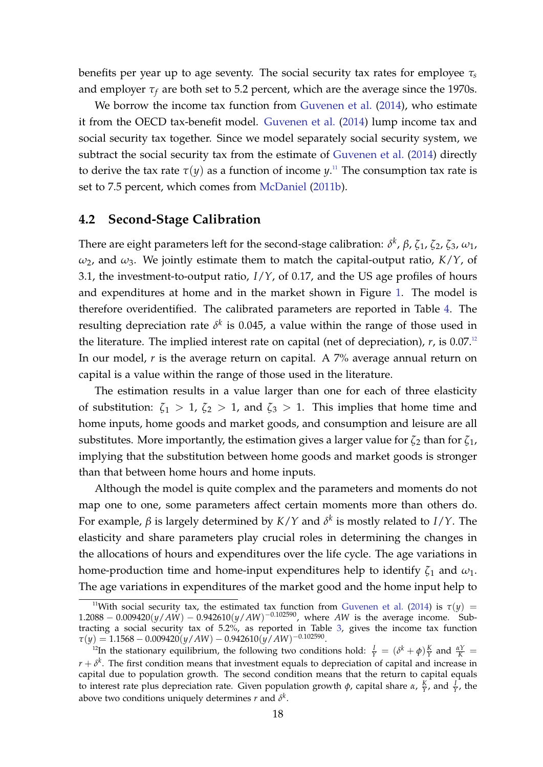benefits per year up to age seventy. The social security tax rates for employee *τ<sup>s</sup>* and employer  $\tau_f$  are both set to 5.2 percent, which are the average since the 1970s.

We borrow the income tax function from [Guvenen et al.](#page-36-9) [\(2014\)](#page-36-9), who estimate it from the OECD tax-benefit model. [Guvenen et al.](#page-36-9) [\(2014\)](#page-36-9) lump income tax and social security tax together. Since we model separately social security system, we subtract the social security tax from the estimate of [Guvenen et al.](#page-36-9) [\(2014\)](#page-36-9) directly to derive the tax rate  $\tau(y)$  as a function of income  $y$ .<sup>[11](#page-17-0)</sup> The consumption tax rate is set to 7.5 percent, which comes from [McDaniel](#page-37-9) [\(2011b\)](#page-37-9).

## **4.2 Second-Stage Calibration**

There are eight parameters left for the second-stage calibration: *δ k* , *β*, *ζ*1, *ζ*2, *ζ*3, *ω*1, *ω*2, and *ω*3. We jointly estimate them to match the capital-output ratio, *K*/*Y*, of 3.1, the investment-to-output ratio, *I*/*Y*, of 0.17, and the US age profiles of hours and expenditures at home and in the market shown in Figure [1.](#page-6-0) The model is therefore overidentified. The calibrated parameters are reported in Table [4.](#page-18-0) The resulting depreciation rate  $\delta^k$  is 0.045, a value within the range of those used in the literature. The implied interest rate on capital (net of depreciation),  $r$ , is 0.07.<sup>[12](#page-17-1)</sup> In our model, *r* is the average return on capital. A 7% average annual return on capital is a value within the range of those used in the literature.

The estimation results in a value larger than one for each of three elasticity of substitution:  $\zeta_1 > 1$ ,  $\zeta_2 > 1$ , and  $\zeta_3 > 1$ . This implies that home time and home inputs, home goods and market goods, and consumption and leisure are all substitutes. More importantly, the estimation gives a larger value for  $\zeta_2$  than for  $\zeta_1$ , implying that the substitution between home goods and market goods is stronger than that between home hours and home inputs.

Although the model is quite complex and the parameters and moments do not map one to one, some parameters affect certain moments more than others do. For example, *β* is largely determined by *K*/*Y* and *δ k* is mostly related to *I*/*Y*. The elasticity and share parameters play crucial roles in determining the changes in the allocations of hours and expenditures over the life cycle. The age variations in home-production time and home-input expenditures help to identify  $\zeta_1$  and  $\omega_1$ . The age variations in expenditures of the market good and the home input help to

<span id="page-17-0"></span><sup>&</sup>lt;sup>11</sup>With social security tax, the estimated tax function from [Guvenen et al.](#page-36-9) [\(2014\)](#page-36-9) is  $\tau(y)$  =  $1.2088 - 0.009420(y/AW) - 0.942610(y/AW)^{-0.102590}$ , where *AW* is the average income. Subtracting a social security tax of 5.2%, as reported in Table [3,](#page-15-0) gives the income tax function  $\tau(y) = 1.1568 - 0.009420(y/AW) - 0.942610(y/AW)^{-0.102590}.$ 

<span id="page-17-1"></span><sup>&</sup>lt;sup>12</sup>In the stationary equilibrium, the following two conditions hold:  $\frac{I}{Y} = (\delta^k + \phi) \frac{K}{Y}$  and  $\frac{\alpha Y}{K} =$  $r + \delta^k$ . The first condition means that investment equals to depreciation of capital and increase in capital due to population growth. The second condition means that the return to capital equals to interest rate plus depreciation rate. Given population growth  $\phi$ , capital share  $\alpha$ ,  $\frac{K}{Y}$ , and  $\frac{I}{Y}$ , the above two conditions uniquely determines  $r$  and  $\delta^k$ .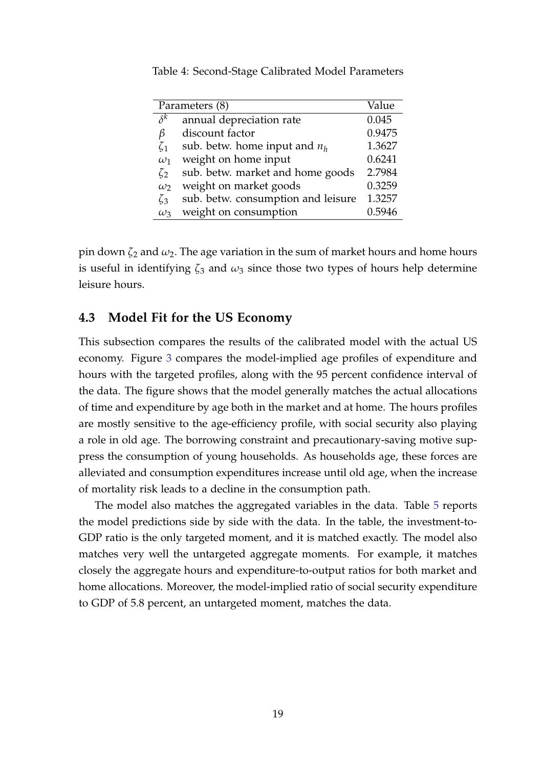| Parameters (8) | Value                              |        |
|----------------|------------------------------------|--------|
| $\delta^k$     | annual depreciation rate           | 0.045  |
| β              | discount factor                    | 0.9475 |
| $\zeta_1$      | sub. betw. home input and $n_h$    | 1.3627 |
| $\omega_1$     | weight on home input               | 0.6241 |
| $\zeta_2$      | sub. betw. market and home goods   | 2.7984 |
| $\omega_2$     | weight on market goods             | 0.3259 |
| $\zeta_3$      | sub. betw. consumption and leisure | 1.3257 |
| $\omega_3$     | weight on consumption              | 0.5946 |

<span id="page-18-0"></span>Table 4: Second-Stage Calibrated Model Parameters

pin down *ζ*<sup>2</sup> and *ω*2. The age variation in the sum of market hours and home hours is useful in identifying  $\zeta_3$  and  $\omega_3$  since those two types of hours help determine leisure hours.

#### **4.3 Model Fit for the US Economy**

This subsection compares the results of the calibrated model with the actual US economy. Figure [3](#page-19-1) compares the model-implied age profiles of expenditure and hours with the targeted profiles, along with the 95 percent confidence interval of the data. The figure shows that the model generally matches the actual allocations of time and expenditure by age both in the market and at home. The hours profiles are mostly sensitive to the age-efficiency profile, with social security also playing a role in old age. The borrowing constraint and precautionary-saving motive suppress the consumption of young households. As households age, these forces are alleviated and consumption expenditures increase until old age, when the increase of mortality risk leads to a decline in the consumption path.

The model also matches the aggregated variables in the data. Table [5](#page-19-2) reports the model predictions side by side with the data. In the table, the investment-to-GDP ratio is the only targeted moment, and it is matched exactly. The model also matches very well the untargeted aggregate moments. For example, it matches closely the aggregate hours and expenditure-to-output ratios for both market and home allocations. Moreover, the model-implied ratio of social security expenditure to GDP of 5.8 percent, an untargeted moment, matches the data.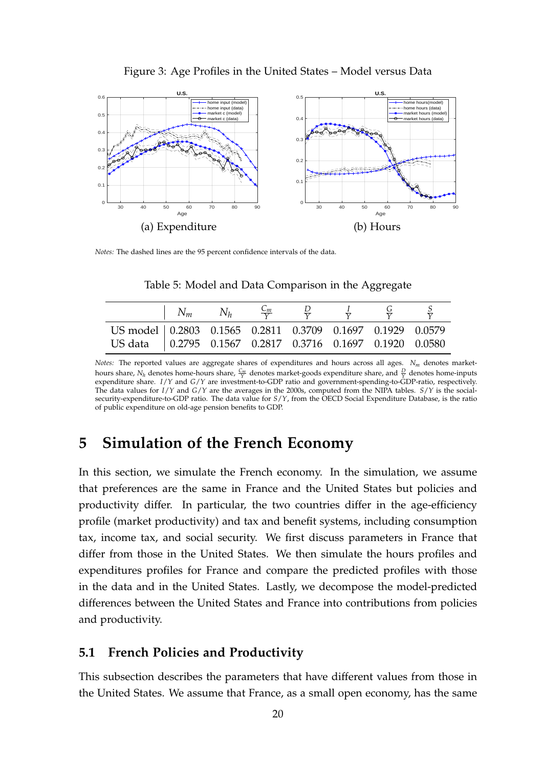<span id="page-19-1"></span>

Figure 3: Age Profiles in the United States – Model versus Data

<span id="page-19-2"></span>*Notes:* The dashed lines are the 95 percent confidence intervals of the data.

|                                                             | $N_m$ | $N_h$ |  |  |  |
|-------------------------------------------------------------|-------|-------|--|--|--|
| US model   0.2803 0.1565 0.2811 0.3709 0.1697 0.1929 0.0579 |       |       |  |  |  |
| US data   0.2795 0.1567 0.2817 0.3716 0.1697 0.1920 0.0580  |       |       |  |  |  |

Table 5: Model and Data Comparison in the Aggregate

*Notes:* The reported values are aggregate shares of expenditures and hours across all ages. *N<sup>m</sup>* denotes markethours share,  $N_h$  denotes home-hours share,  $\frac{C_m}{Y}$  denotes market-goods expenditure share, and  $\frac{D}{Y}$  denotes home-inputs expenditure share. *I*/*Y* and *G*/*Y* are investment-to-GDP ratio and government-spending-to-GDP-ratio, respectively. The data values for *I*/*Y* and *G*/*Y* are the averages in the 2000s, computed from the NIPA tables. *S*/*Y* is the socialsecurity-expenditure-to-GDP ratio. The data value for *S*/*Y*, from the OECD Social Expenditure Database, is the ratio of public expenditure on old-age pension benefits to GDP.

# <span id="page-19-0"></span>**5 Simulation of the French Economy**

In this section, we simulate the French economy. In the simulation, we assume that preferences are the same in France and the United States but policies and productivity differ. In particular, the two countries differ in the age-efficiency profile (market productivity) and tax and benefit systems, including consumption tax, income tax, and social security. We first discuss parameters in France that differ from those in the United States. We then simulate the hours profiles and expenditures profiles for France and compare the predicted profiles with those in the data and in the United States. Lastly, we decompose the model-predicted differences between the United States and France into contributions from policies and productivity.

## **5.1 French Policies and Productivity**

This subsection describes the parameters that have different values from those in the United States. We assume that France, as a small open economy, has the same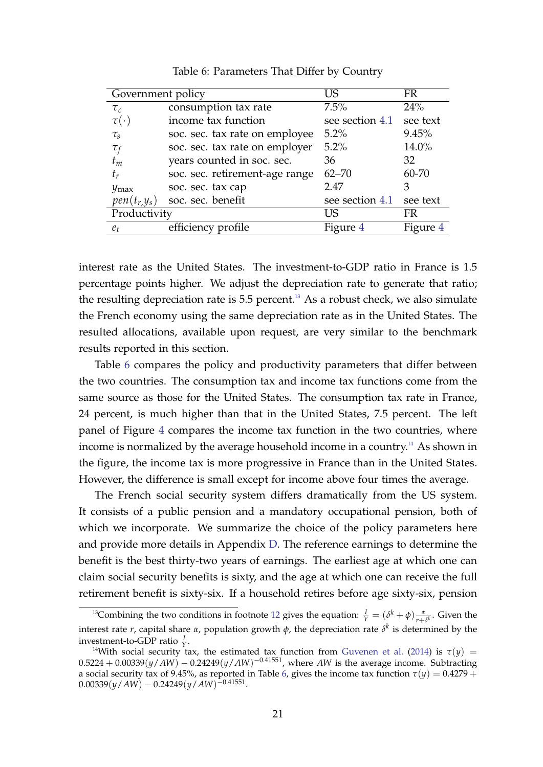<span id="page-20-1"></span>

| Government policy |                                | US              | FR        |
|-------------------|--------------------------------|-----------------|-----------|
| $\tau_c$          | consumption tax rate           | 7.5%            | 24%       |
| $\tau(\cdot)$     | income tax function            | see section 4.1 | see text  |
| $\tau_{s}$        | soc. sec. tax rate on employee | 5.2%            | 9.45%     |
| $\tau_f$          | soc. sec. tax rate on employer | $5.2\%$         | 14.0%     |
| $t_m$             | years counted in soc. sec.     | 36              | 32        |
| $t_r$             | soc. sec. retirement-age range | $62 - 70$       | $60 - 70$ |
| $y_{\rm max}$     | soc. sec. tax cap              | 2.47            | З         |
| $pen(t_r,y_s)$    | soc. sec. benefit              | see section 4.1 | see text  |
| Productivity      |                                | US              | FR        |
| $e_t$             | efficiency profile             | Figure 4        | Figure 4  |

Table 6: Parameters That Differ by Country

interest rate as the United States. The investment-to-GDP ratio in France is 1.5 percentage points higher. We adjust the depreciation rate to generate that ratio; the resulting depreciation rate is  $5.5$  percent.<sup>[13](#page-20-0)</sup> As a robust check, we also simulate the French economy using the same depreciation rate as in the United States. The resulted allocations, available upon request, are very similar to the benchmark results reported in this section.

Table [6](#page-20-1) compares the policy and productivity parameters that differ between the two countries. The consumption tax and income tax functions come from the same source as those for the United States. The consumption tax rate in France, 24 percent, is much higher than that in the United States, 7.5 percent. The left panel of Figure [4](#page-21-0) compares the income tax function in the two countries, where income is normalized by the average household income in a country.<sup>[14](#page-20-2)</sup> As shown in the figure, the income tax is more progressive in France than in the United States. However, the difference is small except for income above four times the average.

The French social security system differs dramatically from the US system. It consists of a public pension and a mandatory occupational pension, both of which we incorporate. We summarize the choice of the policy parameters here and provide more details in Appendix [D.](#page-48-0) The reference earnings to determine the benefit is the best thirty-two years of earnings. The earliest age at which one can claim social security benefits is sixty, and the age at which one can receive the full retirement benefit is sixty-six. If a household retires before age sixty-six, pension

<span id="page-20-0"></span><sup>&</sup>lt;sup>13</sup>Combining the two conditions in footnote [12](#page-17-1) gives the equation:  $\frac{I}{\gamma} = (\delta^k + \phi) \frac{\alpha}{r + \delta^k}$ . Given the interest rate *r*, capital share *α*, population growth *φ*, the depreciation rate *δ k* is determined by the investment-to-GDP ratio *<sup>I</sup>* .

<span id="page-20-2"></span><sup>&</sup>lt;sup>14</sup>With social security tax, the estimated tax function from [Guvenen et al.](#page-36-9) [\(2014\)](#page-36-9) is  $τ(y)$  =  $0.5224 + 0.00339(y/AW) - 0.24249(y/AW)^{-0.41551}$ , where *AW* is the average income. Subtracting a social security tax of 9.45%, as reported in Table [6,](#page-20-1) gives the income tax function  $\tau(y) = 0.4279 + 1$  $0.00339(y/AW) - 0.24249(y/AW)^{-0.41551}.$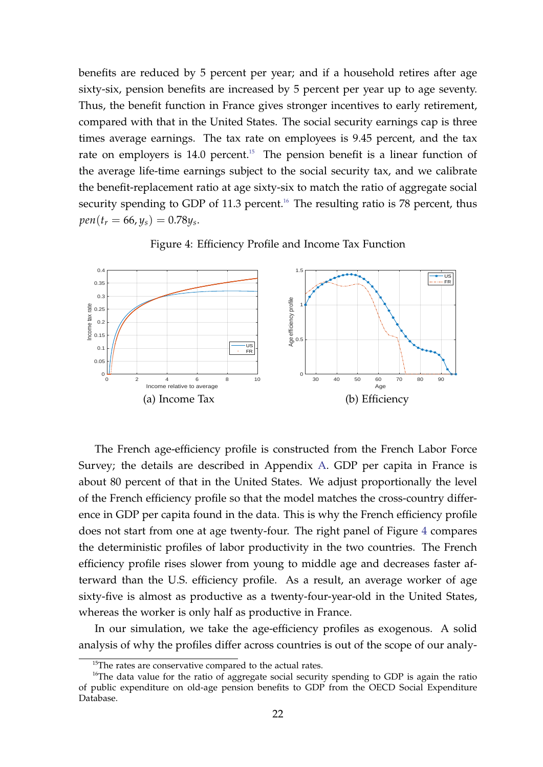benefits are reduced by 5 percent per year; and if a household retires after age sixty-six, pension benefits are increased by 5 percent per year up to age seventy. Thus, the benefit function in France gives stronger incentives to early retirement, compared with that in the United States. The social security earnings cap is three times average earnings. The tax rate on employees is 9.45 percent, and the tax rate on employers is  $14.0$  percent.<sup>[15](#page-21-1)</sup> The pension benefit is a linear function of the average life-time earnings subject to the social security tax, and we calibrate the benefit-replacement ratio at age sixty-six to match the ratio of aggregate social security spending to GDP of 11.3 percent.<sup>[16](#page-21-2)</sup> The resulting ratio is 78 percent, thus  $pen(t_r = 66, y_s) = 0.78y_s.$ 

<span id="page-21-0"></span>

Figure 4: Efficiency Profile and Income Tax Function

The French age-efficiency profile is constructed from the French Labor Force Survey; the details are described in Appendix [A.](#page-39-0) GDP per capita in France is about 80 percent of that in the United States. We adjust proportionally the level of the French efficiency profile so that the model matches the cross-country difference in GDP per capita found in the data. This is why the French efficiency profile does not start from one at age twenty-four. The right panel of Figure [4](#page-21-0) compares the deterministic profiles of labor productivity in the two countries. The French efficiency profile rises slower from young to middle age and decreases faster afterward than the U.S. efficiency profile. As a result, an average worker of age sixty-five is almost as productive as a twenty-four-year-old in the United States, whereas the worker is only half as productive in France.

In our simulation, we take the age-efficiency profiles as exogenous. A solid analysis of why the profiles differ across countries is out of the scope of our analy-

<span id="page-21-2"></span><span id="page-21-1"></span><sup>&</sup>lt;sup>15</sup>The rates are conservative compared to the actual rates.

<sup>&</sup>lt;sup>16</sup>The data value for the ratio of aggregate social security spending to GDP is again the ratio of public expenditure on old-age pension benefits to GDP from the OECD Social Expenditure Database.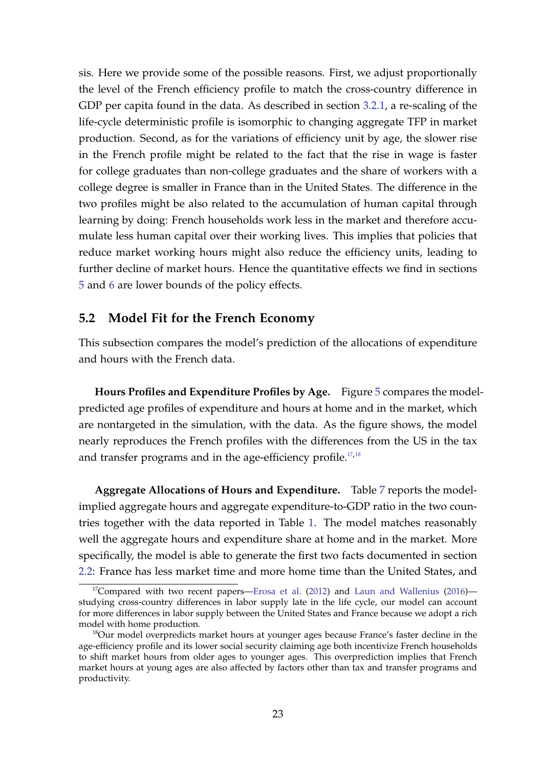sis. Here we provide some of the possible reasons. First, we adjust proportionally the level of the French efficiency profile to match the cross-country difference in GDP per capita found in the data. As described in section [3.2.1,](#page-10-0) a re-scaling of the life-cycle deterministic profile is isomorphic to changing aggregate TFP in market production. Second, as for the variations of efficiency unit by age, the slower rise in the French profile might be related to the fact that the rise in wage is faster for college graduates than non-college graduates and the share of workers with a college degree is smaller in France than in the United States. The difference in the two profiles might be also related to the accumulation of human capital through learning by doing: French households work less in the market and therefore accumulate less human capital over their working lives. This implies that policies that reduce market working hours might also reduce the efficiency units, leading to further decline of market hours. Hence the quantitative effects we find in sections [5](#page-19-0) and [6](#page-29-0) are lower bounds of the policy effects.

## **5.2 Model Fit for the French Economy**

This subsection compares the model's prediction of the allocations of expenditure and hours with the French data.

**Hours Profiles and Expenditure Profiles by Age.** Figure [5](#page-23-0) compares the modelpredicted age profiles of expenditure and hours at home and in the market, which are nontargeted in the simulation, with the data. As the figure shows, the model nearly reproduces the French profiles with the differences from the US in the tax and transfer programs and in the age-efficiency profile.<sup>[17](#page-22-0),[18](#page-22-1)</sup>

**Aggregate Allocations of Hours and Expenditure.** Table [7](#page-23-1) reports the modelimplied aggregate hours and aggregate expenditure-to-GDP ratio in the two countries together with the data reported in Table [1.](#page-7-0) The model matches reasonably well the aggregate hours and expenditure share at home and in the market. More specifically, the model is able to generate the first two facts documented in section [2.2:](#page-6-1) France has less market time and more home time than the United States, and

<span id="page-22-0"></span> $17$ Compared with two recent papers[—Erosa et al.](#page-36-0) [\(2012\)](#page-36-0) and [Laun and Wallenius](#page-37-6) [\(2016\)](#page-37-6) studying cross-country differences in labor supply late in the life cycle, our model can account for more differences in labor supply between the United States and France because we adopt a rich model with home production.

<span id="page-22-1"></span><sup>&</sup>lt;sup>18</sup>Our model overpredicts market hours at younger ages because France's faster decline in the age-efficiency profile and its lower social security claiming age both incentivize French households to shift market hours from older ages to younger ages. This overprediction implies that French market hours at young ages are also affected by factors other than tax and transfer programs and productivity.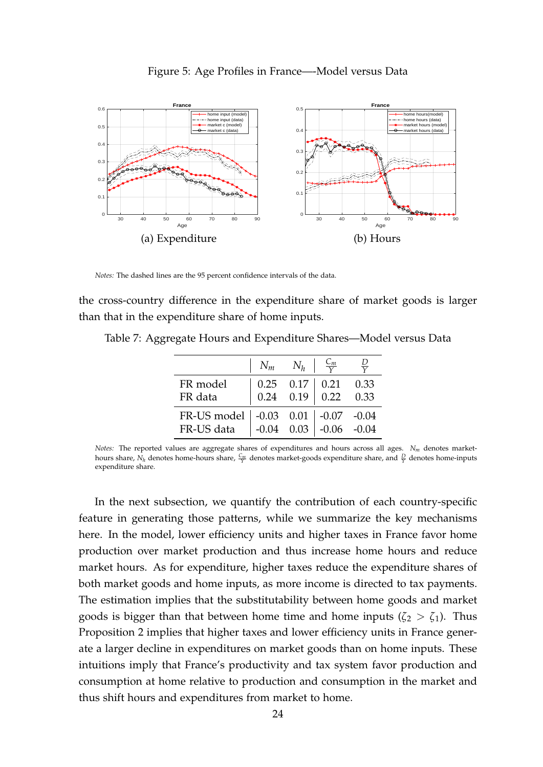<span id="page-23-0"></span>

#### Figure 5: Age Profiles in France—-Model versus Data

*Notes:* The dashed lines are the 95 percent confidence intervals of the data.

the cross-country difference in the expenditure share of market goods is larger than that in the expenditure share of home inputs.

|                                                                                     | $\mid N_m \mid N_h \mid \frac{C_m}{V}$ |                                                                                                                           |  |
|-------------------------------------------------------------------------------------|----------------------------------------|---------------------------------------------------------------------------------------------------------------------------|--|
| FR model                                                                            |                                        | $\begin{array}{ c c c c c c } \hline 0.25 & 0.17 & 0.21 & 0.33 \\ \hline 0.24 & 0.19 & 0.22 & 0.33 \\ \hline \end{array}$ |  |
| FR data                                                                             |                                        |                                                                                                                           |  |
| FR-US model   -0.03  0.01   -0.07  -0.04<br>FR-US data   -0.04  0.03   -0.06  -0.04 |                                        |                                                                                                                           |  |
|                                                                                     |                                        |                                                                                                                           |  |

<span id="page-23-1"></span>Table 7: Aggregate Hours and Expenditure Shares—Model versus Data

*Notes:* The reported values are aggregate shares of expenditures and hours across all ages. *N<sup>m</sup>* denotes markethours share,  $N_h$  denotes home-hours share,  $\frac{C_m}{Y}$  denotes market-goods expenditure share, and  $\frac{D}{Y}$  denotes home-inputs expenditure share.

In the next subsection, we quantify the contribution of each country-specific feature in generating those patterns, while we summarize the key mechanisms here. In the model, lower efficiency units and higher taxes in France favor home production over market production and thus increase home hours and reduce market hours. As for expenditure, higher taxes reduce the expenditure shares of both market goods and home inputs, as more income is directed to tax payments. The estimation implies that the substitutability between home goods and market goods is bigger than that between home time and home inputs ( $\zeta_2 > \zeta_1$ ). Thus Proposition 2 implies that higher taxes and lower efficiency units in France generate a larger decline in expenditures on market goods than on home inputs. These intuitions imply that France's productivity and tax system favor production and consumption at home relative to production and consumption in the market and thus shift hours and expenditures from market to home.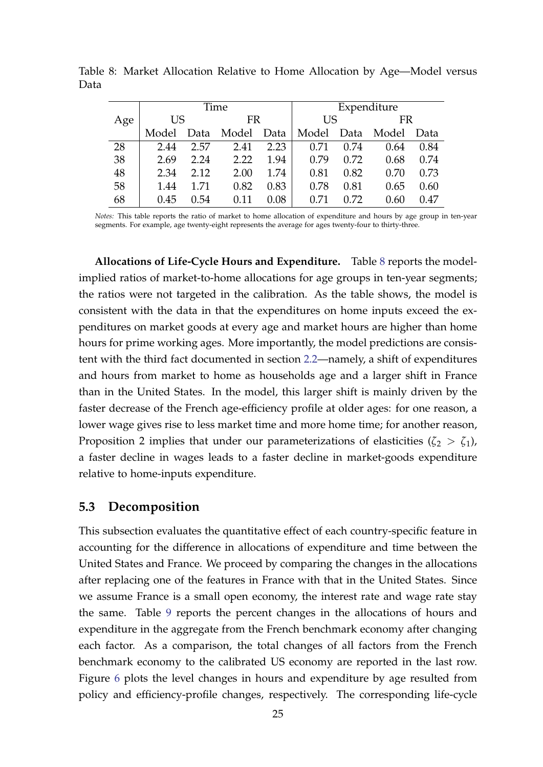|     |       | Time |                 |      |            | Expenditure |       |           |  |
|-----|-------|------|-----------------|------|------------|-------------|-------|-----------|--|
| Age | US    |      |                 | FR   |            | US          |       | <b>FR</b> |  |
|     | Model |      | Data Model Data |      | Model Data |             | Model | Data      |  |
| 28  | 2.44  | 2.57 | 2.41            | 2.23 | 0.71       | 0.74        | 0.64  | 0.84      |  |
| 38  | 2.69  | 2.24 | 2.22            | 1.94 | 0.79       | 0.72        | 0.68  | 0.74      |  |
| 48  | 2.34  | 2.12 | 2.00            | 1.74 | 0.81       | 0.82        | 0.70  | 0.73      |  |
| 58  | 1.44  | 1.71 | 0.82            | 0.83 | 0.78       | 0.81        | 0.65  | 0.60      |  |
| 68  | 0.45  | 0.54 | 0.11            | 0.08 | 0.71       | 0.72        | 0.60  | 0.47      |  |

<span id="page-24-0"></span>Table 8: Market Allocation Relative to Home Allocation by Age—Model versus Data

*Notes:* This table reports the ratio of market to home allocation of expenditure and hours by age group in ten-year segments. For example, age twenty-eight represents the average for ages twenty-four to thirty-three.

**Allocations of Life-Cycle Hours and Expenditure.** Table [8](#page-24-0) reports the modelimplied ratios of market-to-home allocations for age groups in ten-year segments; the ratios were not targeted in the calibration. As the table shows, the model is consistent with the data in that the expenditures on home inputs exceed the expenditures on market goods at every age and market hours are higher than home hours for prime working ages. More importantly, the model predictions are consistent with the third fact documented in section [2.2—](#page-6-1)namely, a shift of expenditures and hours from market to home as households age and a larger shift in France than in the United States. In the model, this larger shift is mainly driven by the faster decrease of the French age-efficiency profile at older ages: for one reason, a lower wage gives rise to less market time and more home time; for another reason, Proposition 2 implies that under our parameterizations of elasticities  $(\zeta_2 > \zeta_1)$ , a faster decline in wages leads to a faster decline in market-goods expenditure relative to home-inputs expenditure.

## <span id="page-24-1"></span>**5.3 Decomposition**

This subsection evaluates the quantitative effect of each country-specific feature in accounting for the difference in allocations of expenditure and time between the United States and France. We proceed by comparing the changes in the allocations after replacing one of the features in France with that in the United States. Since we assume France is a small open economy, the interest rate and wage rate stay the same. Table [9](#page-26-0) reports the percent changes in the allocations of hours and expenditure in the aggregate from the French benchmark economy after changing each factor. As a comparison, the total changes of all factors from the French benchmark economy to the calibrated US economy are reported in the last row. Figure [6](#page-27-0) plots the level changes in hours and expenditure by age resulted from policy and efficiency-profile changes, respectively. The corresponding life-cycle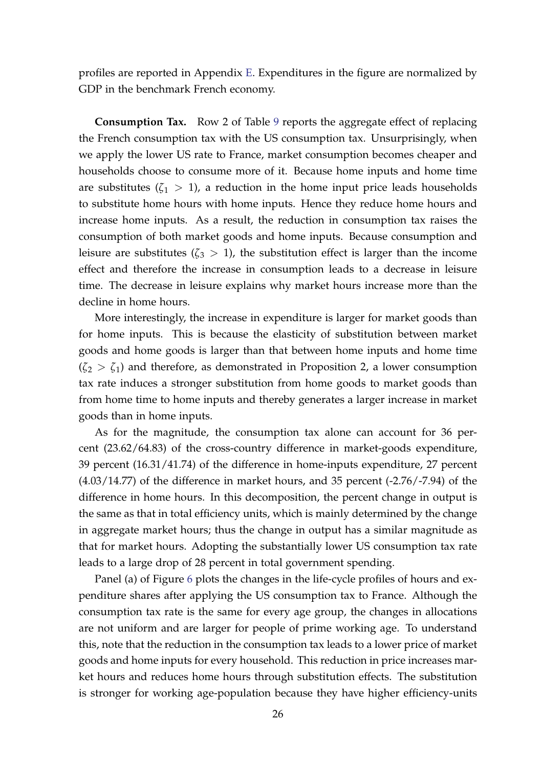profiles are reported in Appendix [E.](#page-49-0) Expenditures in the figure are normalized by GDP in the benchmark French economy.

**Consumption Tax.** Row 2 of Table [9](#page-26-0) reports the aggregate effect of replacing the French consumption tax with the US consumption tax. Unsurprisingly, when we apply the lower US rate to France, market consumption becomes cheaper and households choose to consume more of it. Because home inputs and home time are substitutes  $(\zeta_1 > 1)$ , a reduction in the home input price leads households to substitute home hours with home inputs. Hence they reduce home hours and increase home inputs. As a result, the reduction in consumption tax raises the consumption of both market goods and home inputs. Because consumption and leisure are substitutes ( $\zeta_3 > 1$ ), the substitution effect is larger than the income effect and therefore the increase in consumption leads to a decrease in leisure time. The decrease in leisure explains why market hours increase more than the decline in home hours.

More interestingly, the increase in expenditure is larger for market goods than for home inputs. This is because the elasticity of substitution between market goods and home goods is larger than that between home inputs and home time  $(\zeta_2 > \zeta_1)$  and therefore, as demonstrated in Proposition 2, a lower consumption tax rate induces a stronger substitution from home goods to market goods than from home time to home inputs and thereby generates a larger increase in market goods than in home inputs.

As for the magnitude, the consumption tax alone can account for 36 percent (23.62/64.83) of the cross-country difference in market-goods expenditure, 39 percent (16.31/41.74) of the difference in home-inputs expenditure, 27 percent (4.03/14.77) of the difference in market hours, and 35 percent (-2.76/-7.94) of the difference in home hours. In this decomposition, the percent change in output is the same as that in total efficiency units, which is mainly determined by the change in aggregate market hours; thus the change in output has a similar magnitude as that for market hours. Adopting the substantially lower US consumption tax rate leads to a large drop of 28 percent in total government spending.

Panel (a) of Figure [6](#page-27-0) plots the changes in the life-cycle profiles of hours and expenditure shares after applying the US consumption tax to France. Although the consumption tax rate is the same for every age group, the changes in allocations are not uniform and are larger for people of prime working age. To understand this, note that the reduction in the consumption tax leads to a lower price of market goods and home inputs for every household. This reduction in price increases market hours and reduces home hours through substitution effects. The substitution is stronger for working age-population because they have higher efficiency-units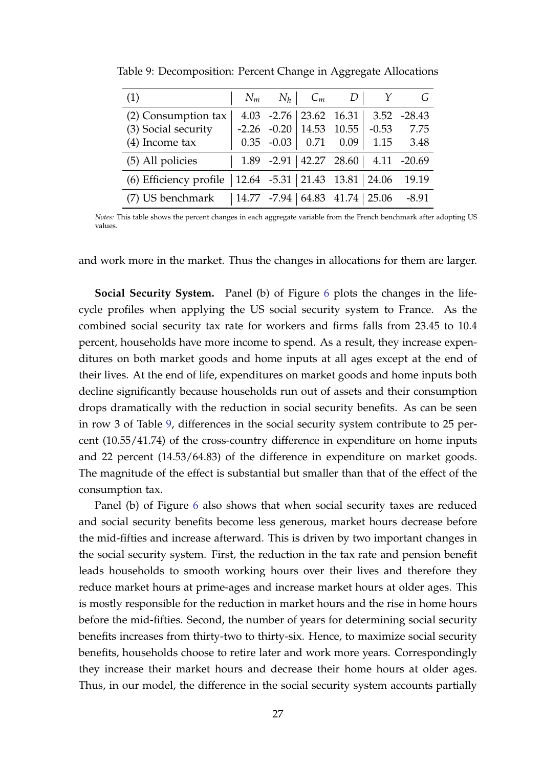| (1)                    |                   | $N_m$ $N_h$ $C_m$        | $D \mid$                            |               |                                            |
|------------------------|-------------------|--------------------------|-------------------------------------|---------------|--------------------------------------------|
| (2) Consumption tax    |                   | $4.03 -2.76$ 23.62 16.31 |                                     |               | $3.52 -28.43$                              |
| (3) Social security    | $-2.26$ $-0.20$   |                          | $\vert$ 14.53 10.55 $\vert$         | $-0.53$       | 7.75                                       |
| $(4)$ Income tax       | $0.35 -0.03$ 0.71 |                          | 0.09                                | 1.15          | 3.48                                       |
| (5) All policies       |                   |                          |                                     |               | $1.89$ -2.91 $ 42.27$ 28.60 $ 4.11$ -20.69 |
| (6) Efficiency profile |                   |                          | $12.64$ -5.31   21.43 13.81   24.06 |               | 19.19                                      |
| (7) US benchmark       |                   |                          | $14.77$ -7.94 64.83 41.74           | $\vert$ 25.06 | $-8.91$                                    |

<span id="page-26-0"></span>Table 9: Decomposition: Percent Change in Aggregate Allocations

*Notes:* This table shows the percent changes in each aggregate variable from the French benchmark after adopting US values.

and work more in the market. Thus the changes in allocations for them are larger.

**Social Security System.** Panel (b) of Figure [6](#page-27-0) plots the changes in the lifecycle profiles when applying the US social security system to France. As the combined social security tax rate for workers and firms falls from 23.45 to 10.4 percent, households have more income to spend. As a result, they increase expenditures on both market goods and home inputs at all ages except at the end of their lives. At the end of life, expenditures on market goods and home inputs both decline significantly because households run out of assets and their consumption drops dramatically with the reduction in social security benefits. As can be seen in row 3 of Table [9,](#page-26-0) differences in the social security system contribute to 25 percent (10.55/41.74) of the cross-country difference in expenditure on home inputs and 22 percent (14.53/64.83) of the difference in expenditure on market goods. The magnitude of the effect is substantial but smaller than that of the effect of the consumption tax.

Panel (b) of Figure [6](#page-27-0) also shows that when social security taxes are reduced and social security benefits become less generous, market hours decrease before the mid-fifties and increase afterward. This is driven by two important changes in the social security system. First, the reduction in the tax rate and pension benefit leads households to smooth working hours over their lives and therefore they reduce market hours at prime-ages and increase market hours at older ages. This is mostly responsible for the reduction in market hours and the rise in home hours before the mid-fifties. Second, the number of years for determining social security benefits increases from thirty-two to thirty-six. Hence, to maximize social security benefits, households choose to retire later and work more years. Correspondingly they increase their market hours and decrease their home hours at older ages. Thus, in our model, the difference in the social security system accounts partially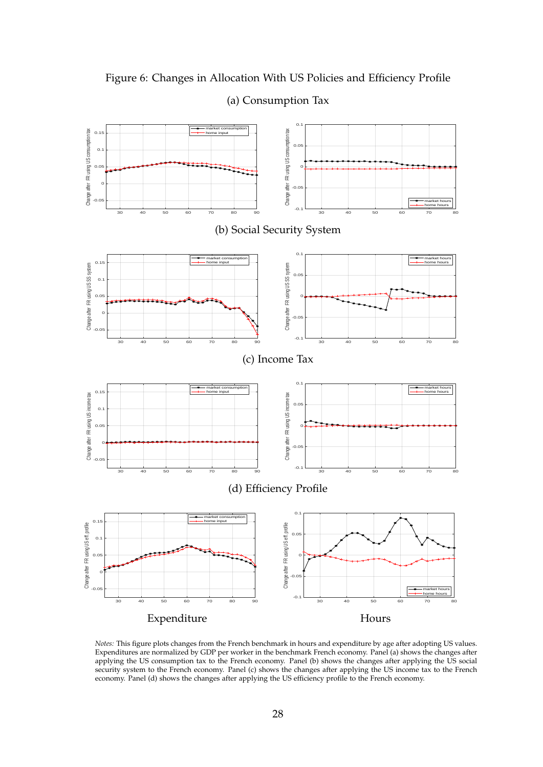

<span id="page-27-0"></span>Figure 6: Changes in Allocation With US Policies and Efficiency Profile

## (a) Consumption Tax

*Notes:* This figure plots changes from the French benchmark in hours and expenditure by age after adopting US values. Expenditures are normalized by GDP per worker in the benchmark French economy. Panel (a) shows the changes after applying the US consumption tax to the French economy. Panel (b) shows the changes after applying the US social security system to the French economy. Panel (c) shows the changes after applying the US income tax to the French economy. Panel (d) shows the changes after applying the US efficiency profile to the French economy.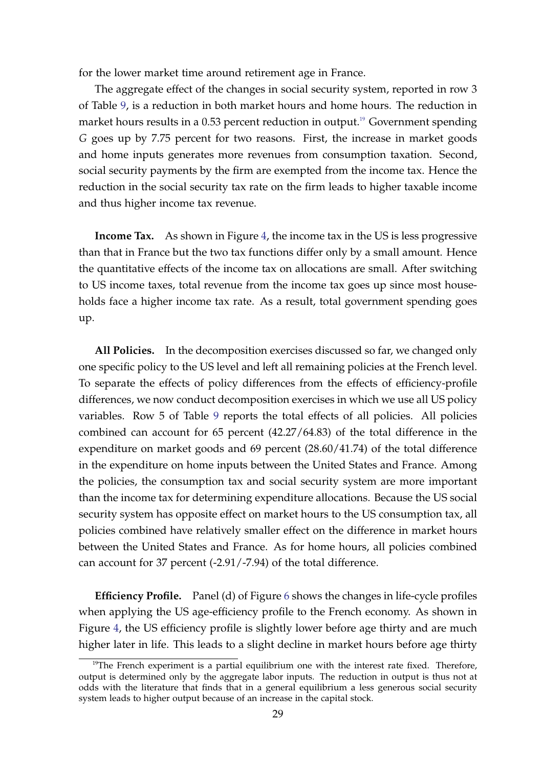for the lower market time around retirement age in France.

The aggregate effect of the changes in social security system, reported in row 3 of Table [9,](#page-26-0) is a reduction in both market hours and home hours. The reduction in market hours results in a 0.53 percent reduction in output.<sup>[19](#page-28-0)</sup> Government spending *G* goes up by 7.75 percent for two reasons. First, the increase in market goods and home inputs generates more revenues from consumption taxation. Second, social security payments by the firm are exempted from the income tax. Hence the reduction in the social security tax rate on the firm leads to higher taxable income and thus higher income tax revenue.

**Income Tax.** As shown in Figure [4,](#page-21-0) the income tax in the US is less progressive than that in France but the two tax functions differ only by a small amount. Hence the quantitative effects of the income tax on allocations are small. After switching to US income taxes, total revenue from the income tax goes up since most households face a higher income tax rate. As a result, total government spending goes up.

**All Policies.** In the decomposition exercises discussed so far, we changed only one specific policy to the US level and left all remaining policies at the French level. To separate the effects of policy differences from the effects of efficiency-profile differences, we now conduct decomposition exercises in which we use all US policy variables. Row 5 of Table [9](#page-26-0) reports the total effects of all policies. All policies combined can account for 65 percent (42.27/64.83) of the total difference in the expenditure on market goods and 69 percent (28.60/41.74) of the total difference in the expenditure on home inputs between the United States and France. Among the policies, the consumption tax and social security system are more important than the income tax for determining expenditure allocations. Because the US social security system has opposite effect on market hours to the US consumption tax, all policies combined have relatively smaller effect on the difference in market hours between the United States and France. As for home hours, all policies combined can account for 37 percent (-2.91/-7.94) of the total difference.

**Efficiency Profile.** Panel (d) of Figure [6](#page-27-0) shows the changes in life-cycle profiles when applying the US age-efficiency profile to the French economy. As shown in Figure [4,](#page-21-0) the US efficiency profile is slightly lower before age thirty and are much higher later in life. This leads to a slight decline in market hours before age thirty

<span id="page-28-0"></span> $19$ The French experiment is a partial equilibrium one with the interest rate fixed. Therefore, output is determined only by the aggregate labor inputs. The reduction in output is thus not at odds with the literature that finds that in a general equilibrium a less generous social security system leads to higher output because of an increase in the capital stock.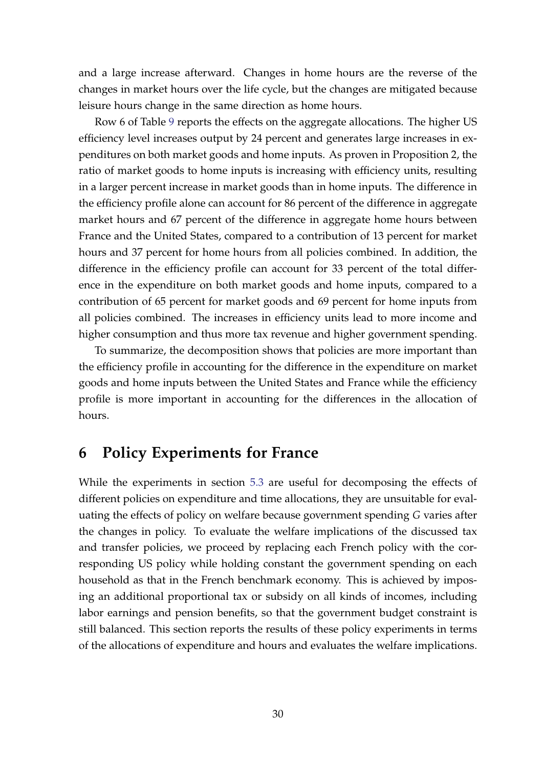and a large increase afterward. Changes in home hours are the reverse of the changes in market hours over the life cycle, but the changes are mitigated because leisure hours change in the same direction as home hours.

Row 6 of Table [9](#page-26-0) reports the effects on the aggregate allocations. The higher US efficiency level increases output by 24 percent and generates large increases in expenditures on both market goods and home inputs. As proven in Proposition 2, the ratio of market goods to home inputs is increasing with efficiency units, resulting in a larger percent increase in market goods than in home inputs. The difference in the efficiency profile alone can account for 86 percent of the difference in aggregate market hours and 67 percent of the difference in aggregate home hours between France and the United States, compared to a contribution of 13 percent for market hours and 37 percent for home hours from all policies combined. In addition, the difference in the efficiency profile can account for 33 percent of the total difference in the expenditure on both market goods and home inputs, compared to a contribution of 65 percent for market goods and 69 percent for home inputs from all policies combined. The increases in efficiency units lead to more income and higher consumption and thus more tax revenue and higher government spending.

To summarize, the decomposition shows that policies are more important than the efficiency profile in accounting for the difference in the expenditure on market goods and home inputs between the United States and France while the efficiency profile is more important in accounting for the differences in the allocation of hours.

# <span id="page-29-0"></span>**6 Policy Experiments for France**

While the experiments in section [5.3](#page-24-1) are useful for decomposing the effects of different policies on expenditure and time allocations, they are unsuitable for evaluating the effects of policy on welfare because government spending *G* varies after the changes in policy. To evaluate the welfare implications of the discussed tax and transfer policies, we proceed by replacing each French policy with the corresponding US policy while holding constant the government spending on each household as that in the French benchmark economy. This is achieved by imposing an additional proportional tax or subsidy on all kinds of incomes, including labor earnings and pension benefits, so that the government budget constraint is still balanced. This section reports the results of these policy experiments in terms of the allocations of expenditure and hours and evaluates the welfare implications.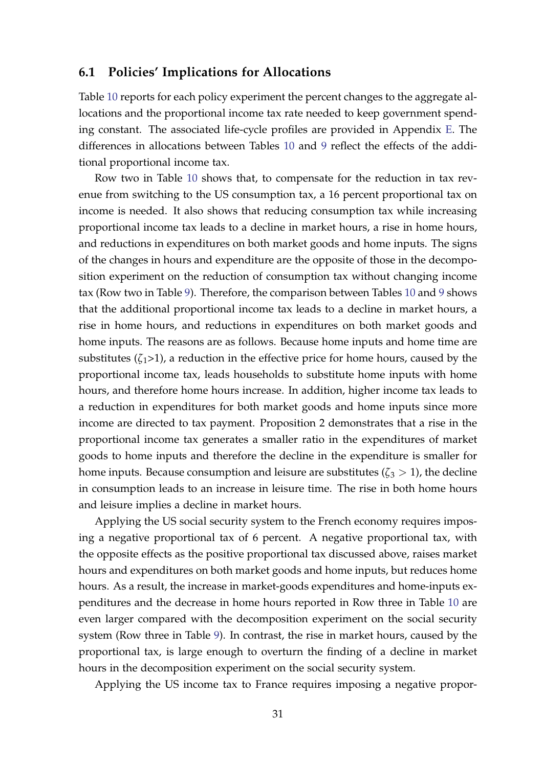#### **6.1 Policies' Implications for Allocations**

Table [10](#page-31-0) reports for each policy experiment the percent changes to the aggregate allocations and the proportional income tax rate needed to keep government spending constant. The associated life-cycle profiles are provided in Appendix [E.](#page-49-0) The differences in allocations between Tables [10](#page-31-0) and [9](#page-26-0) reflect the effects of the additional proportional income tax.

Row two in Table [10](#page-31-0) shows that, to compensate for the reduction in tax revenue from switching to the US consumption tax, a 16 percent proportional tax on income is needed. It also shows that reducing consumption tax while increasing proportional income tax leads to a decline in market hours, a rise in home hours, and reductions in expenditures on both market goods and home inputs. The signs of the changes in hours and expenditure are the opposite of those in the decomposition experiment on the reduction of consumption tax without changing income tax (Row two in Table [9\)](#page-26-0). Therefore, the comparison between Tables [10](#page-31-0) and [9](#page-26-0) shows that the additional proportional income tax leads to a decline in market hours, a rise in home hours, and reductions in expenditures on both market goods and home inputs. The reasons are as follows. Because home inputs and home time are substitutes  $(\zeta_1>1)$ , a reduction in the effective price for home hours, caused by the proportional income tax, leads households to substitute home inputs with home hours, and therefore home hours increase. In addition, higher income tax leads to a reduction in expenditures for both market goods and home inputs since more income are directed to tax payment. Proposition 2 demonstrates that a rise in the proportional income tax generates a smaller ratio in the expenditures of market goods to home inputs and therefore the decline in the expenditure is smaller for home inputs. Because consumption and leisure are substitutes  $(\zeta_3 > 1)$ , the decline in consumption leads to an increase in leisure time. The rise in both home hours and leisure implies a decline in market hours.

Applying the US social security system to the French economy requires imposing a negative proportional tax of 6 percent. A negative proportional tax, with the opposite effects as the positive proportional tax discussed above, raises market hours and expenditures on both market goods and home inputs, but reduces home hours. As a result, the increase in market-goods expenditures and home-inputs expenditures and the decrease in home hours reported in Row three in Table [10](#page-31-0) are even larger compared with the decomposition experiment on the social security system (Row three in Table [9\)](#page-26-0). In contrast, the rise in market hours, caused by the proportional tax, is large enough to overturn the finding of a decline in market hours in the decomposition experiment on the social security system.

Applying the US income tax to France requires imposing a negative propor-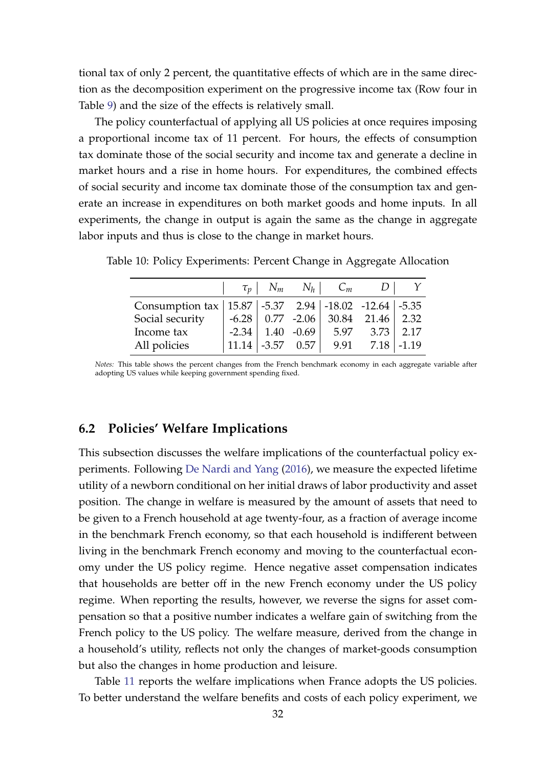tional tax of only 2 percent, the quantitative effects of which are in the same direction as the decomposition experiment on the progressive income tax (Row four in Table [9\)](#page-26-0) and the size of the effects is relatively small.

The policy counterfactual of applying all US policies at once requires imposing a proportional income tax of 11 percent. For hours, the effects of consumption tax dominate those of the social security and income tax and generate a decline in market hours and a rise in home hours. For expenditures, the combined effects of social security and income tax dominate those of the consumption tax and generate an increase in expenditures on both market goods and home inputs. In all experiments, the change in output is again the same as the change in aggregate labor inputs and thus is close to the change in market hours.

|                                                              |                        | $\tau_p$   $N_m$ $N_h$   $C_m$                               |                      |  |
|--------------------------------------------------------------|------------------------|--------------------------------------------------------------|----------------------|--|
| Consumption tax   15.87   -5.37 2.94   -18.02 -12.64   -5.35 |                        |                                                              |                      |  |
| Social security                                              |                        | $-6.28$ 0.77 $-2.06$ 30.84 21.46 2.32                        |                      |  |
| Income tax                                                   | $-2.34$   1.40 $-0.69$ |                                                              | $5.97$ $3.73$   2.17 |  |
| All policies                                                 |                        | $\mid$ 11.14 $\mid$ -3.57 0.57 $\mid$ 9.91 7.18 $\mid$ -1.19 |                      |  |

<span id="page-31-0"></span>Table 10: Policy Experiments: Percent Change in Aggregate Allocation

*Notes:* This table shows the percent changes from the French benchmark economy in each aggregate variable after adopting US values while keeping government spending fixed.

## **6.2 Policies' Welfare Implications**

This subsection discusses the welfare implications of the counterfactual policy experiments. Following [De Nardi and Yang](#page-36-11) [\(2016\)](#page-36-11), we measure the expected lifetime utility of a newborn conditional on her initial draws of labor productivity and asset position. The change in welfare is measured by the amount of assets that need to be given to a French household at age twenty-four, as a fraction of average income in the benchmark French economy, so that each household is indifferent between living in the benchmark French economy and moving to the counterfactual economy under the US policy regime. Hence negative asset compensation indicates that households are better off in the new French economy under the US policy regime. When reporting the results, however, we reverse the signs for asset compensation so that a positive number indicates a welfare gain of switching from the French policy to the US policy. The welfare measure, derived from the change in a household's utility, reflects not only the changes of market-goods consumption but also the changes in home production and leisure.

Table [11](#page-32-0) reports the welfare implications when France adopts the US policies. To better understand the welfare benefits and costs of each policy experiment, we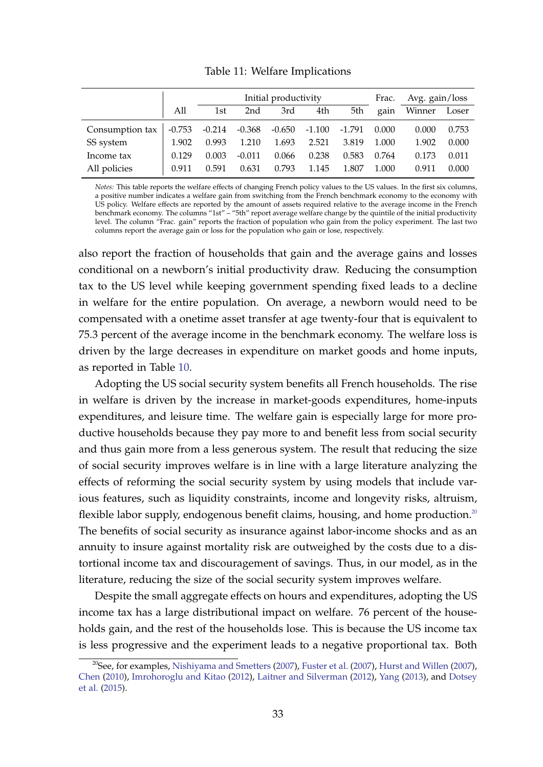<span id="page-32-0"></span>

|                 |          | Initial productivity |          |          |          |          |       | Avg. gain/loss |       |
|-----------------|----------|----------------------|----------|----------|----------|----------|-------|----------------|-------|
|                 | All      | 1st                  | 2nd      | 3rd      | 4th      | 5th      | gain  | Winner         | Loser |
| Consumption tax | $-0.753$ | $-0.214$ $-0.368$    |          | $-0.650$ | $-1.100$ | $-1.791$ | 0.000 | 0.000          | 0.753 |
| SS system       | 1.902    | 0.993                | 1.210    | 1.693    | 2.521    | 3.819    | 1.000 | 1.902          | 0.000 |
| Income tax      | 0.129    | 0.003                | $-0.011$ | 0.066    | 0.238    | 0.583    | 0.764 | 0.173          | 0.011 |
| All policies    | 0.911    | 0.591                | 0.631    | 0.793    | 1.145    | 1.807    | 1.000 | 0.911          | 0.000 |

Table 11: Welfare Implications

*Notes:* This table reports the welfare effects of changing French policy values to the US values. In the first six columns, a positive number indicates a welfare gain from switching from the French benchmark economy to the economy with US policy. Welfare effects are reported by the amount of assets required relative to the average income in the French benchmark economy. The columns "1st" – "5th" report average welfare change by the quintile of the initial productivity level. The column "Frac. gain" reports the fraction of population who gain from the policy experiment. The last two columns report the average gain or loss for the population who gain or lose, respectively.

also report the fraction of households that gain and the average gains and losses conditional on a newborn's initial productivity draw. Reducing the consumption tax to the US level while keeping government spending fixed leads to a decline in welfare for the entire population. On average, a newborn would need to be compensated with a onetime asset transfer at age twenty-four that is equivalent to 75.3 percent of the average income in the benchmark economy. The welfare loss is driven by the large decreases in expenditure on market goods and home inputs, as reported in Table [10.](#page-31-0)

Adopting the US social security system benefits all French households. The rise in welfare is driven by the increase in market-goods expenditures, home-inputs expenditures, and leisure time. The welfare gain is especially large for more productive households because they pay more to and benefit less from social security and thus gain more from a less generous system. The result that reducing the size of social security improves welfare is in line with a large literature analyzing the effects of reforming the social security system by using models that include various features, such as liquidity constraints, income and longevity risks, altruism, flexible labor supply, endogenous benefit claims, housing, and home production.<sup>[20](#page-32-1)</sup> The benefits of social security as insurance against labor-income shocks and as an annuity to insure against mortality risk are outweighed by the costs due to a distortional income tax and discouragement of savings. Thus, in our model, as in the literature, reducing the size of the social security system improves welfare.

Despite the small aggregate effects on hours and expenditures, adopting the US income tax has a large distributional impact on welfare. 76 percent of the households gain, and the rest of the households lose. This is because the US income tax is less progressive and the experiment leads to a negative proportional tax. Both

<span id="page-32-1"></span><sup>&</sup>lt;sup>20</sup>See, for examples, [Nishiyama and Smetters](#page-37-10) [\(2007\)](#page-36-13), [Fuster et al.](#page-36-12) (2007), [Hurst and Willen](#page-36-13) (2007), [Chen](#page-35-11) [\(2010\)](#page-35-11), [Imrohoroglu and Kitao](#page-37-11) [\(2012\)](#page-37-11), [Laitner and Silverman](#page-37-12) [\(2012\)](#page-37-12), [Yang](#page-38-4) [\(2013\)](#page-38-4), and [Dotsey](#page-36-2) [et al.](#page-36-2) [\(2015\)](#page-36-2).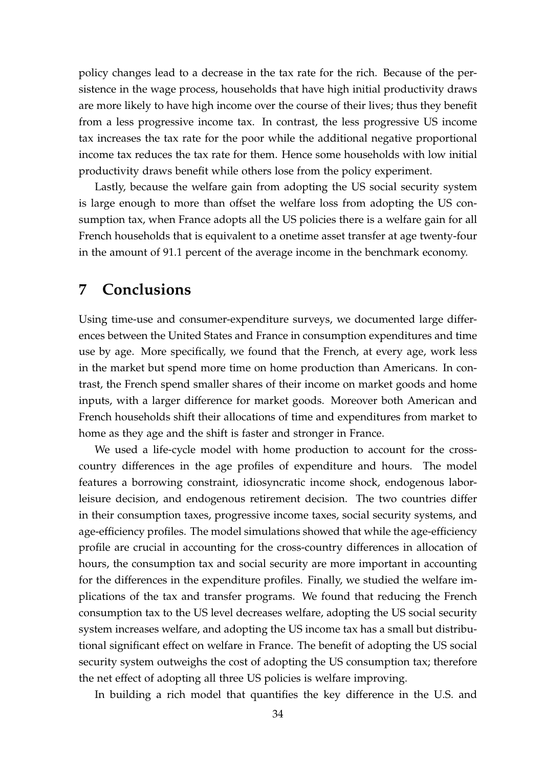policy changes lead to a decrease in the tax rate for the rich. Because of the persistence in the wage process, households that have high initial productivity draws are more likely to have high income over the course of their lives; thus they benefit from a less progressive income tax. In contrast, the less progressive US income tax increases the tax rate for the poor while the additional negative proportional income tax reduces the tax rate for them. Hence some households with low initial productivity draws benefit while others lose from the policy experiment.

Lastly, because the welfare gain from adopting the US social security system is large enough to more than offset the welfare loss from adopting the US consumption tax, when France adopts all the US policies there is a welfare gain for all French households that is equivalent to a onetime asset transfer at age twenty-four in the amount of 91.1 percent of the average income in the benchmark economy.

# <span id="page-33-0"></span>**7 Conclusions**

Using time-use and consumer-expenditure surveys, we documented large differences between the United States and France in consumption expenditures and time use by age. More specifically, we found that the French, at every age, work less in the market but spend more time on home production than Americans. In contrast, the French spend smaller shares of their income on market goods and home inputs, with a larger difference for market goods. Moreover both American and French households shift their allocations of time and expenditures from market to home as they age and the shift is faster and stronger in France.

We used a life-cycle model with home production to account for the crosscountry differences in the age profiles of expenditure and hours. The model features a borrowing constraint, idiosyncratic income shock, endogenous laborleisure decision, and endogenous retirement decision. The two countries differ in their consumption taxes, progressive income taxes, social security systems, and age-efficiency profiles. The model simulations showed that while the age-efficiency profile are crucial in accounting for the cross-country differences in allocation of hours, the consumption tax and social security are more important in accounting for the differences in the expenditure profiles. Finally, we studied the welfare implications of the tax and transfer programs. We found that reducing the French consumption tax to the US level decreases welfare, adopting the US social security system increases welfare, and adopting the US income tax has a small but distributional significant effect on welfare in France. The benefit of adopting the US social security system outweighs the cost of adopting the US consumption tax; therefore the net effect of adopting all three US policies is welfare improving.

In building a rich model that quantifies the key difference in the U.S. and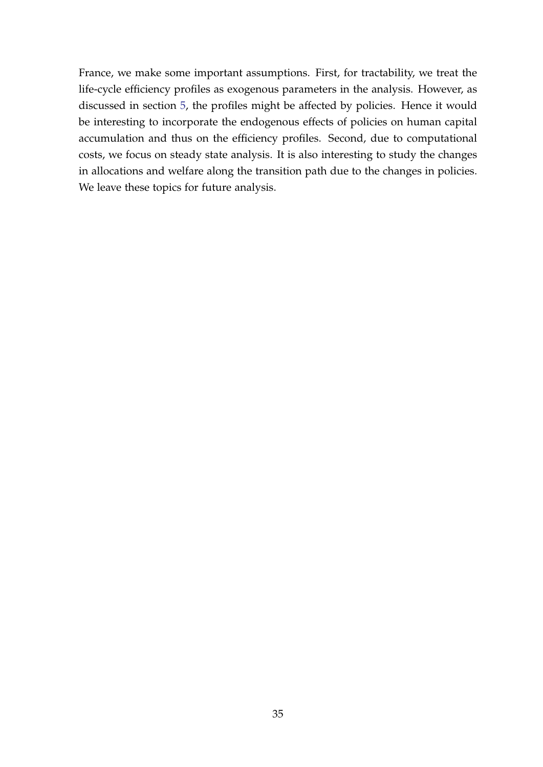France, we make some important assumptions. First, for tractability, we treat the life-cycle efficiency profiles as exogenous parameters in the analysis. However, as discussed in section [5,](#page-19-0) the profiles might be affected by policies. Hence it would be interesting to incorporate the endogenous effects of policies on human capital accumulation and thus on the efficiency profiles. Second, due to computational costs, we focus on steady state analysis. It is also interesting to study the changes in allocations and welfare along the transition path due to the changes in policies. We leave these topics for future analysis.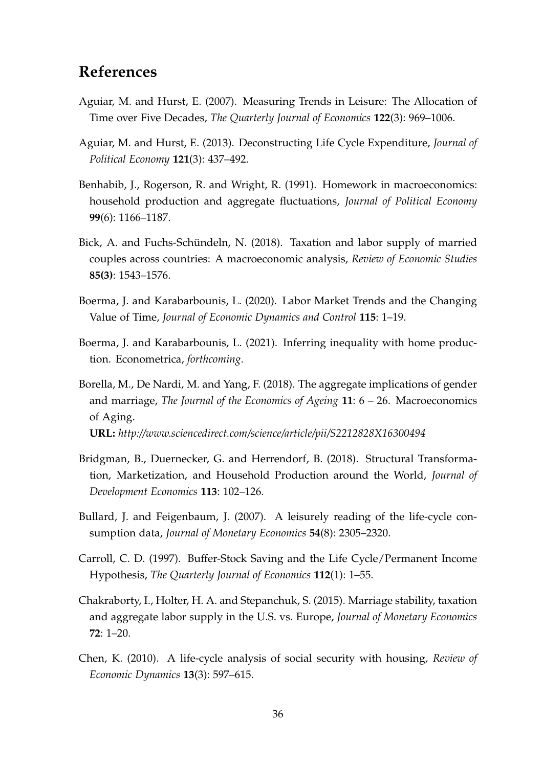# **References**

- <span id="page-35-9"></span>Aguiar, M. and Hurst, E. (2007). Measuring Trends in Leisure: The Allocation of Time over Five Decades, *The Quarterly Journal of Economics* **122**(3): 969–1006.
- <span id="page-35-8"></span>Aguiar, M. and Hurst, E. (2013). Deconstructing Life Cycle Expenditure, *Journal of Political Economy* **121**(3): 437–492.
- <span id="page-35-2"></span>Benhabib, J., Rogerson, R. and Wright, R. (1991). Homework in macroeconomics: household production and aggregate fluctuations, *Journal of Political Economy* **99**(6): 1166–1187.
- <span id="page-35-1"></span>Bick, A. and Fuchs-Schündeln, N. (2018). Taxation and labor supply of married couples across countries: A macroeconomic analysis, *Review of Economic Studies* **85(3)**: 1543–1576.
- <span id="page-35-4"></span>Boerma, J. and Karabarbounis, L. (2020). Labor Market Trends and the Changing Value of Time, *Journal of Economic Dynamics and Control* **115**: 1–19.
- <span id="page-35-5"></span>Boerma, J. and Karabarbounis, L. (2021). Inferring inequality with home production. Econometrica, *forthcoming*.
- <span id="page-35-10"></span>Borella, M., De Nardi, M. and Yang, F. (2018). The aggregate implications of gender and marriage, *The Journal of the Economics of Ageing* **11**: 6 – 26. Macroeconomics of Aging. **URL:** *http://www.sciencedirect.com/science/article/pii/S2212828X16300494*
- 
- <span id="page-35-3"></span>Bridgman, B., Duernecker, G. and Herrendorf, B. (2018). Structural Transformation, Marketization, and Household Production around the World, *Journal of Development Economics* **113**: 102–126.
- <span id="page-35-7"></span>Bullard, J. and Feigenbaum, J. (2007). A leisurely reading of the life-cycle consumption data, *Journal of Monetary Economics* **54**(8): 2305–2320.
- <span id="page-35-6"></span>Carroll, C. D. (1997). Buffer-Stock Saving and the Life Cycle/Permanent Income Hypothesis, *The Quarterly Journal of Economics* **112**(1): 1–55.
- <span id="page-35-0"></span>Chakraborty, I., Holter, H. A. and Stepanchuk, S. (2015). Marriage stability, taxation and aggregate labor supply in the U.S. vs. Europe, *Journal of Monetary Economics* **72**: 1–20.
- <span id="page-35-11"></span>Chen, K. (2010). A life-cycle analysis of social security with housing, *Review of Economic Dynamics* **13**(3): 597–615.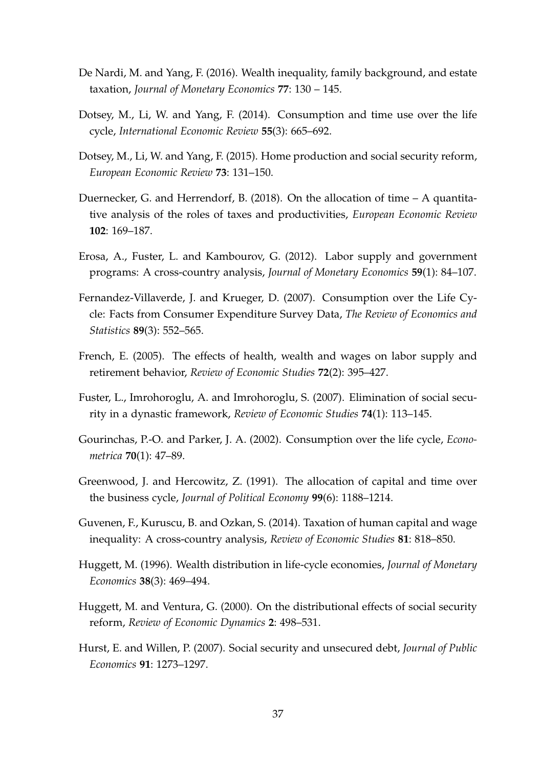- <span id="page-36-11"></span>De Nardi, M. and Yang, F. (2016). Wealth inequality, family background, and estate taxation, *Journal of Monetary Economics* **77**: 130 – 145.
- <span id="page-36-5"></span>Dotsey, M., Li, W. and Yang, F. (2014). Consumption and time use over the life cycle, *International Economic Review* **55**(3): 665–692.
- <span id="page-36-2"></span>Dotsey, M., Li, W. and Yang, F. (2015). Home production and social security reform, *European Economic Review* **73**: 131–150.
- <span id="page-36-1"></span>Duernecker, G. and Herrendorf, B. (2018). On the allocation of time – A quantitative analysis of the roles of taxes and productivities, *European Economic Review* **102**: 169–187.
- <span id="page-36-0"></span>Erosa, A., Fuster, L. and Kambourov, G. (2012). Labor supply and government programs: A cross-country analysis, *Journal of Monetary Economics* **59**(1): 84–107.
- <span id="page-36-4"></span>Fernandez-Villaverde, J. and Krueger, D. (2007). Consumption over the Life Cycle: Facts from Consumer Expenditure Survey Data, *The Review of Economics and Statistics* **89**(3): 552–565.
- <span id="page-36-10"></span>French, E. (2005). The effects of health, wealth and wages on labor supply and retirement behavior, *Review of Economic Studies* **72**(2): 395–427.
- <span id="page-36-12"></span>Fuster, L., Imrohoroglu, A. and Imrohoroglu, S. (2007). Elimination of social security in a dynastic framework, *Review of Economic Studies* **74**(1): 113–145.
- <span id="page-36-3"></span>Gourinchas, P.-O. and Parker, J. A. (2002). Consumption over the life cycle, *Econometrica* **70**(1): 47–89.
- <span id="page-36-6"></span>Greenwood, J. and Hercowitz, Z. (1991). The allocation of capital and time over the business cycle, *Journal of Political Economy* **99**(6): 1188–1214.
- <span id="page-36-9"></span>Guvenen, F., Kuruscu, B. and Ozkan, S. (2014). Taxation of human capital and wage inequality: A cross-country analysis, *Review of Economic Studies* **81**: 818–850.
- <span id="page-36-7"></span>Huggett, M. (1996). Wealth distribution in life-cycle economies, *Journal of Monetary Economics* **38**(3): 469–494.
- <span id="page-36-8"></span>Huggett, M. and Ventura, G. (2000). On the distributional effects of social security reform, *Review of Economic Dynamics* **2**: 498–531.
- <span id="page-36-13"></span>Hurst, E. and Willen, P. (2007). Social security and unsecured debt, *Journal of Public Economics* **91**: 1273–1297.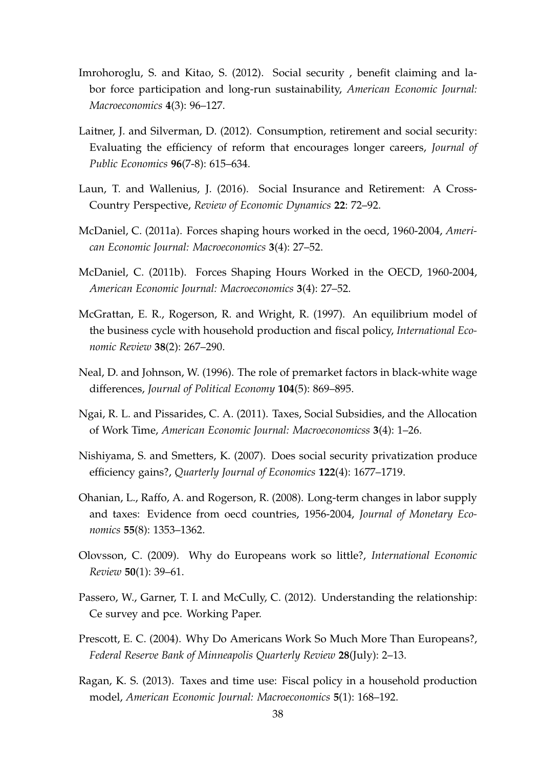- <span id="page-37-11"></span>Imrohoroglu, S. and Kitao, S. (2012). Social security , benefit claiming and labor force participation and long-run sustainability, *American Economic Journal: Macroeconomics* **4**(3): 96–127.
- <span id="page-37-12"></span>Laitner, J. and Silverman, D. (2012). Consumption, retirement and social security: Evaluating the efficiency of reform that encourages longer careers, *Journal of Public Economics* **96**(7-8): 615–634.
- <span id="page-37-6"></span>Laun, T. and Wallenius, J. (2016). Social Insurance and Retirement: A Cross-Country Perspective, *Review of Economic Dynamics* **22**: 72–92.
- <span id="page-37-3"></span>McDaniel, C. (2011a). Forces shaping hours worked in the oecd, 1960-2004, *American Economic Journal: Macroeconomics* **3**(4): 27–52.
- <span id="page-37-9"></span>McDaniel, C. (2011b). Forces Shaping Hours Worked in the OECD, 1960-2004, *American Economic Journal: Macroeconomics* **3**(4): 27–52.
- <span id="page-37-8"></span>McGrattan, E. R., Rogerson, R. and Wright, R. (1997). An equilibrium model of the business cycle with household production and fiscal policy, *International Economic Review* **38**(2): 267–290.
- <span id="page-37-13"></span>Neal, D. and Johnson, W. (1996). The role of premarket factors in black-white wage differences, *Journal of Political Economy* **104**(5): 869–895.
- <span id="page-37-4"></span>Ngai, R. L. and Pissarides, C. A. (2011). Taxes, Social Subsidies, and the Allocation of Work Time, *American Economic Journal: Macroeconomicss* **3**(4): 1–26.
- <span id="page-37-10"></span>Nishiyama, S. and Smetters, K. (2007). Does social security privatization produce efficiency gains?, *Quarterly Journal of Economics* **122**(4): 1677–1719.
- <span id="page-37-1"></span>Ohanian, L., Raffo, A. and Rogerson, R. (2008). Long-term changes in labor supply and taxes: Evidence from oecd countries, 1956-2004, *Journal of Monetary Economics* **55**(8): 1353–1362.
- <span id="page-37-2"></span>Olovsson, C. (2009). Why do Europeans work so little?, *International Economic Review* **50**(1): 39–61.
- <span id="page-37-7"></span>Passero, W., Garner, T. I. and McCully, C. (2012). Understanding the relationship: Ce survey and pce. Working Paper.
- <span id="page-37-0"></span>Prescott, E. C. (2004). Why Do Americans Work So Much More Than Europeans?, *Federal Reserve Bank of Minneapolis Quarterly Review* **28**(July): 2–13.
- <span id="page-37-5"></span>Ragan, K. S. (2013). Taxes and time use: Fiscal policy in a household production model, *American Economic Journal: Macroeconomics* **5**(1): 168–192.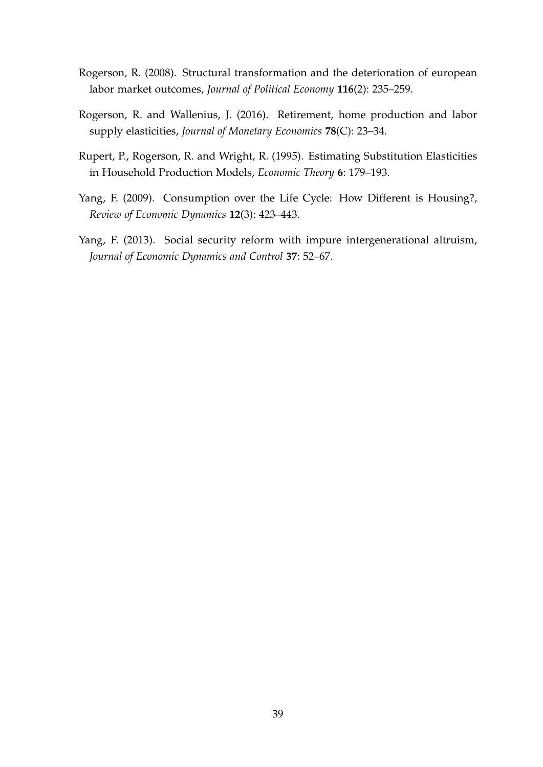- <span id="page-38-0"></span>Rogerson, R. (2008). Structural transformation and the deterioration of european labor market outcomes, *Journal of Political Economy* **116**(2): 235–259.
- <span id="page-38-2"></span>Rogerson, R. and Wallenius, J. (2016). Retirement, home production and labor supply elasticities, *Journal of Monetary Economics* **78**(C): 23–34.
- <span id="page-38-1"></span>Rupert, P., Rogerson, R. and Wright, R. (1995). Estimating Substitution Elasticities in Household Production Models, *Economic Theory* **6**: 179–193.
- <span id="page-38-3"></span>Yang, F. (2009). Consumption over the Life Cycle: How Different is Housing?, *Review of Economic Dynamics* **12**(3): 423–443.
- <span id="page-38-4"></span>Yang, F. (2013). Social security reform with impure intergenerational altruism, *Journal of Economic Dynamics and Control* **37**: 52–67.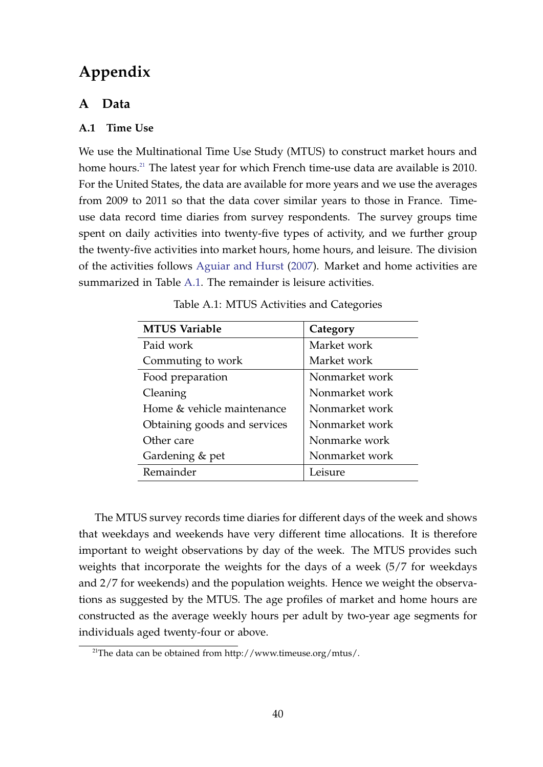# **Appendix**

# <span id="page-39-0"></span>**A Data**

## **A.1 Time Use**

We use the Multinational Time Use Study (MTUS) to construct market hours and home hours.<sup>[21](#page-39-1)</sup> The latest year for which French time-use data are available is 2010. For the United States, the data are available for more years and we use the averages from 2009 to 2011 so that the data cover similar years to those in France. Timeuse data record time diaries from survey respondents. The survey groups time spent on daily activities into twenty-five types of activity, and we further group the twenty-five activities into market hours, home hours, and leisure. The division of the activities follows [Aguiar and Hurst](#page-35-9) [\(2007\)](#page-35-9). Market and home activities are summarized in Table [A.1.](#page-39-2) The remainder is leisure activities.

<span id="page-39-2"></span>

| Category       |
|----------------|
| Market work    |
| Market work    |
| Nonmarket work |
| Nonmarket work |
| Nonmarket work |
| Nonmarket work |
| Nonmarke work  |
| Nonmarket work |
| Leisure        |
|                |

Table A.1: MTUS Activities and Categories

The MTUS survey records time diaries for different days of the week and shows that weekdays and weekends have very different time allocations. It is therefore important to weight observations by day of the week. The MTUS provides such weights that incorporate the weights for the days of a week (5/7 for weekdays and 2/7 for weekends) and the population weights. Hence we weight the observations as suggested by the MTUS. The age profiles of market and home hours are constructed as the average weekly hours per adult by two-year age segments for individuals aged twenty-four or above.

<span id="page-39-1"></span><sup>&</sup>lt;sup>21</sup>The data can be obtained from http://www.timeuse.org/mtus/.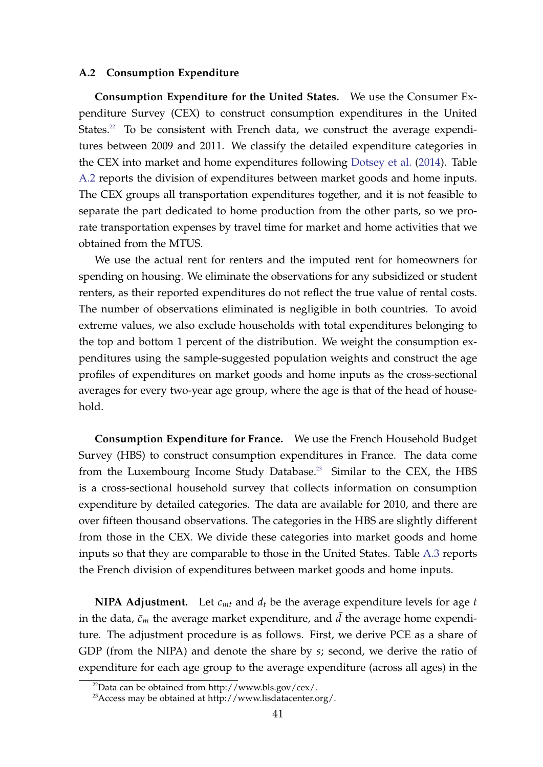#### **A.2 Consumption Expenditure**

**Consumption Expenditure for the United States.** We use the Consumer Expenditure Survey (CEX) to construct consumption expenditures in the United States. $22$  To be consistent with French data, we construct the average expenditures between 2009 and 2011. We classify the detailed expenditure categories in the CEX into market and home expenditures following [Dotsey et al.](#page-36-5) [\(2014\)](#page-36-5). Table [A.2](#page-41-0) reports the division of expenditures between market goods and home inputs. The CEX groups all transportation expenditures together, and it is not feasible to separate the part dedicated to home production from the other parts, so we prorate transportation expenses by travel time for market and home activities that we obtained from the MTUS.

We use the actual rent for renters and the imputed rent for homeowners for spending on housing. We eliminate the observations for any subsidized or student renters, as their reported expenditures do not reflect the true value of rental costs. The number of observations eliminated is negligible in both countries. To avoid extreme values, we also exclude households with total expenditures belonging to the top and bottom 1 percent of the distribution. We weight the consumption expenditures using the sample-suggested population weights and construct the age profiles of expenditures on market goods and home inputs as the cross-sectional averages for every two-year age group, where the age is that of the head of household.

**Consumption Expenditure for France.** We use the French Household Budget Survey (HBS) to construct consumption expenditures in France. The data come from the Luxembourg Income Study Database.<sup>[23](#page-40-1)</sup> Similar to the CEX, the HBS is a cross-sectional household survey that collects information on consumption expenditure by detailed categories. The data are available for 2010, and there are over fifteen thousand observations. The categories in the HBS are slightly different from those in the CEX. We divide these categories into market goods and home inputs so that they are comparable to those in the United States. Table [A.3](#page-42-0) reports the French division of expenditures between market goods and home inputs.

**NIPA Adjustment.** Let  $c_{mt}$  and  $d_t$  be the average expenditure levels for age  $t$ in the data,  $\bar{c}_m$  the average market expenditure, and  $d$  the average home expenditure. The adjustment procedure is as follows. First, we derive PCE as a share of GDP (from the NIPA) and denote the share by *s*; second, we derive the ratio of expenditure for each age group to the average expenditure (across all ages) in the

<span id="page-40-0"></span> $^{22}$ Data can be obtained from http://www.bls.gov/cex/.

<span id="page-40-1"></span><sup>23</sup>Access may be obtained at http://www.lisdatacenter.org/.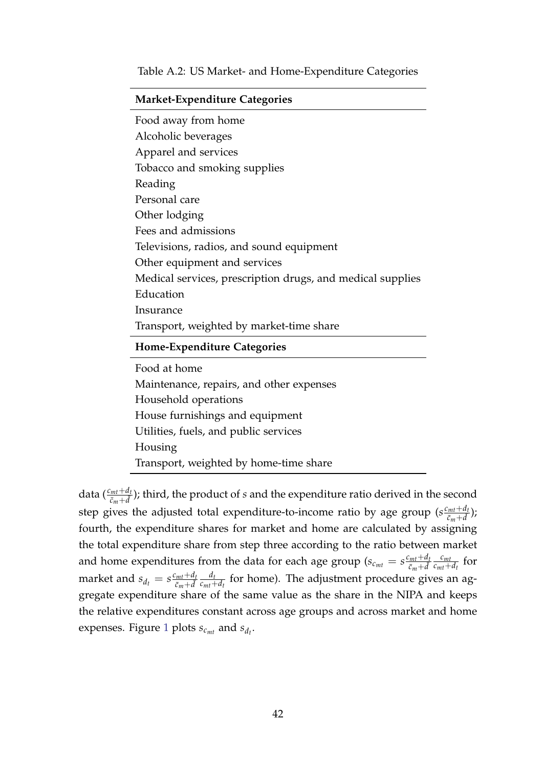|  |  |  |  | Table A.2: US Market- and Home-Expenditure Categories |  |
|--|--|--|--|-------------------------------------------------------|--|
|--|--|--|--|-------------------------------------------------------|--|

<span id="page-41-0"></span>

| <b>Market-Expenditure Categories</b>                       |  |  |  |  |
|------------------------------------------------------------|--|--|--|--|
| Food away from home                                        |  |  |  |  |
| Alcoholic beverages                                        |  |  |  |  |
| Apparel and services                                       |  |  |  |  |
| Tobacco and smoking supplies                               |  |  |  |  |
| Reading                                                    |  |  |  |  |
| Personal care                                              |  |  |  |  |
| Other lodging                                              |  |  |  |  |
| Fees and admissions                                        |  |  |  |  |
| Televisions, radios, and sound equipment                   |  |  |  |  |
| Other equipment and services                               |  |  |  |  |
| Medical services, prescription drugs, and medical supplies |  |  |  |  |
| Education                                                  |  |  |  |  |
| Insurance                                                  |  |  |  |  |
| Transport, weighted by market-time share                   |  |  |  |  |
| <b>Home-Expenditure Categories</b>                         |  |  |  |  |
| Food at home                                               |  |  |  |  |
| Maintenance, repairs, and other expenses                   |  |  |  |  |
| Household operations                                       |  |  |  |  |
| House furnishings and equipment                            |  |  |  |  |
| Utilities, fuels, and public services                      |  |  |  |  |
| Housing                                                    |  |  |  |  |
| Transport, weighted by home-time share                     |  |  |  |  |

data  $(\frac{c_{mt}+d_t}{\bar{c}_m+d})$ ; third, the product of *s* and the expenditure ratio derived in the second step gives the adjusted total expenditure-to-income ratio by age group  $(s \frac{c_{mt} + d_{t}}{s_{t} + d_{t}})$  $\frac{c_{mt}+a_t}{c_m+\bar{d}}$ ); fourth, the expenditure shares for market and home are calculated by assigning the total expenditure share from step three according to the ratio between market and home expenditures from the data for each age group ( $s_{c_{mt}} = s \frac{c_{mt} + d_t}{\bar{c}_{mt} + \bar{d}_{t}}$  $\bar{c}_m + \bar{d}$ *cmt*  $\frac{c_{mt}}{c_{mt}+d_t}$  for market and  $s_{d_t} = s \frac{c_{mt} + d_t}{\bar{c}_{m} + \bar{d}}$  $\bar{c}_m + \bar{d}$ *dt*  $\frac{u_t}{c_{mt} + d_t}$  for home). The adjustment procedure gives an aggregate expenditure share of the same value as the share in the NIPA and keeps the relative expenditures constant across age groups and across market and home expenses. Figure [1](#page-6-0) plots  $s_{c_{mt}}$  and  $s_{d_t}$ .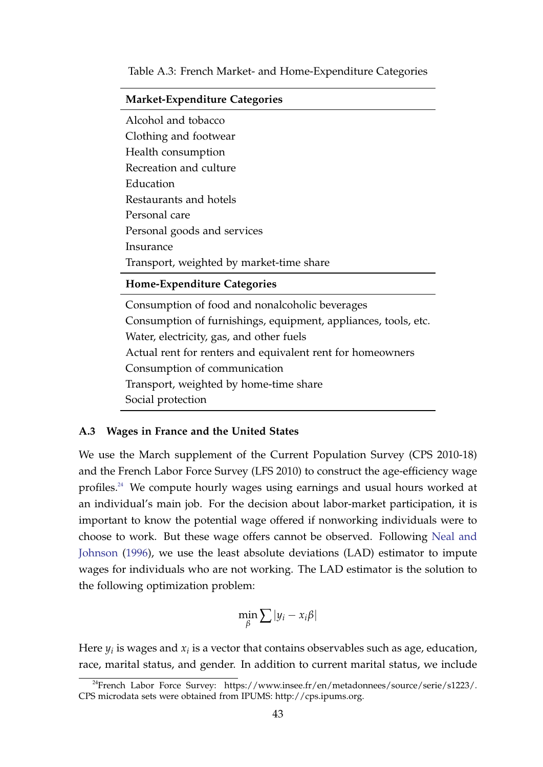#### Table A.3: French Market- and Home-Expenditure Categories

<span id="page-42-0"></span>

| <b>Market-Expenditure Categories</b>                           |  |  |  |
|----------------------------------------------------------------|--|--|--|
| Alcohol and tobacco                                            |  |  |  |
| Clothing and footwear                                          |  |  |  |
| Health consumption                                             |  |  |  |
| Recreation and culture                                         |  |  |  |
| Education                                                      |  |  |  |
| Restaurants and hotels                                         |  |  |  |
| Personal care                                                  |  |  |  |
| Personal goods and services                                    |  |  |  |
| Insurance                                                      |  |  |  |
| Transport, weighted by market-time share                       |  |  |  |
| Home-Expenditure Categories                                    |  |  |  |
| Consumption of food and nonalcoholic beverages                 |  |  |  |
| Consumption of furnishings, equipment, appliances, tools, etc. |  |  |  |
| Water, electricity, gas, and other fuels                       |  |  |  |
| Actual rent for renters and equivalent rent for homeowners     |  |  |  |
| Consumption of communication                                   |  |  |  |
| Transport, weighted by home-time share                         |  |  |  |

**A.3 Wages in France and the United States**

Social protection

We use the March supplement of the Current Population Survey (CPS 2010-18) and the French Labor Force Survey (LFS 2010) to construct the age-efficiency wage profiles.<sup>[24](#page-42-1)</sup> We compute hourly wages using earnings and usual hours worked at an individual's main job. For the decision about labor-market participation, it is important to know the potential wage offered if nonworking individuals were to choose to work. But these wage offers cannot be observed. Following [Neal and](#page-37-13) [Johnson](#page-37-13) [\(1996\)](#page-37-13), we use the least absolute deviations (LAD) estimator to impute wages for individuals who are not working. The LAD estimator is the solution to the following optimization problem:

$$
\min_{\beta} \sum |y_i - x_i \beta|
$$

Here  $y_i$  is wages and  $x_i$  is a vector that contains observables such as age, education, race, marital status, and gender. In addition to current marital status, we include

<span id="page-42-1"></span> $^{24}$ French Labor Force Survey: https://www.insee.fr/en/metadonnees/source/serie/s1223/. CPS microdata sets were obtained from IPUMS: http://cps.ipums.org.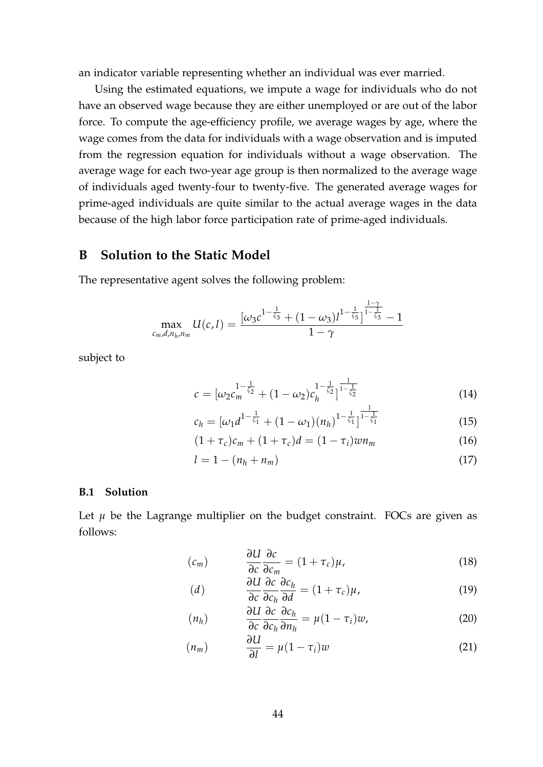an indicator variable representing whether an individual was ever married.

Using the estimated equations, we impute a wage for individuals who do not have an observed wage because they are either unemployed or are out of the labor force. To compute the age-efficiency profile, we average wages by age, where the wage comes from the data for individuals with a wage observation and is imputed from the regression equation for individuals without a wage observation. The average wage for each two-year age group is then normalized to the average wage of individuals aged twenty-four to twenty-five. The generated average wages for prime-aged individuals are quite similar to the actual average wages in the data because of the high labor force participation rate of prime-aged individuals.

## <span id="page-43-0"></span>**B Solution to the Static Model**

The representative agent solves the following problem:

$$
\max_{c_m,d,n_h,n_m} U(c,l) = \frac{[\omega_3 c^{1-\frac{1}{\zeta_3}} + (1-\omega_3)l^{1-\frac{1}{\zeta_3}}]^{\frac{1-\gamma}{1-\frac{1}{\zeta_3}}}-1}{1-\gamma}
$$

subject to

<span id="page-43-2"></span>
$$
c = \left[\omega_2 c_m^{-1-\frac{1}{\zeta_2}} + (1-\omega_2)c_h^{-1-\frac{1}{\zeta_2}}\right]^{-\frac{1}{1-\frac{1}{\zeta_2}}}
$$
(14)

$$
c_h = \left[\omega_1 d^{1-\frac{1}{\zeta_1}} + (1-\omega_1)(n_h)^{1-\frac{1}{\zeta_1}}\right]^{\frac{1}{1-\frac{1}{\zeta_1}}}
$$
(15)

$$
(1 + \tau_c)c_m + (1 + \tau_c)d = (1 - \tau_i)wn_m
$$
\n(16)

$$
l = 1 - (n_h + n_m) \tag{17}
$$

#### **B.1 Solution**

Let  $\mu$  be the Lagrange multiplier on the budget constraint. FOCs are given as follows:

<span id="page-43-1"></span>
$$
(c_m) \qquad \frac{\partial U}{\partial c} \frac{\partial c}{\partial c_m} = (1 + \tau_c)\mu,\tag{18}
$$

$$
(d) \qquad \frac{\partial U}{\partial c} \frac{\partial c}{\partial c_h} \frac{\partial c_h}{\partial d} = (1 + \tau_c)\mu, \qquad (19)
$$

$$
(n_h) \qquad \frac{\partial U}{\partial c} \frac{\partial c}{\partial c_h} \frac{\partial c_h}{\partial n_h} = \mu (1 - \tau_i) w, \tag{20}
$$

$$
(n_m) \qquad \frac{\partial U}{\partial l} = \mu (1 - \tau_i) w \tag{21}
$$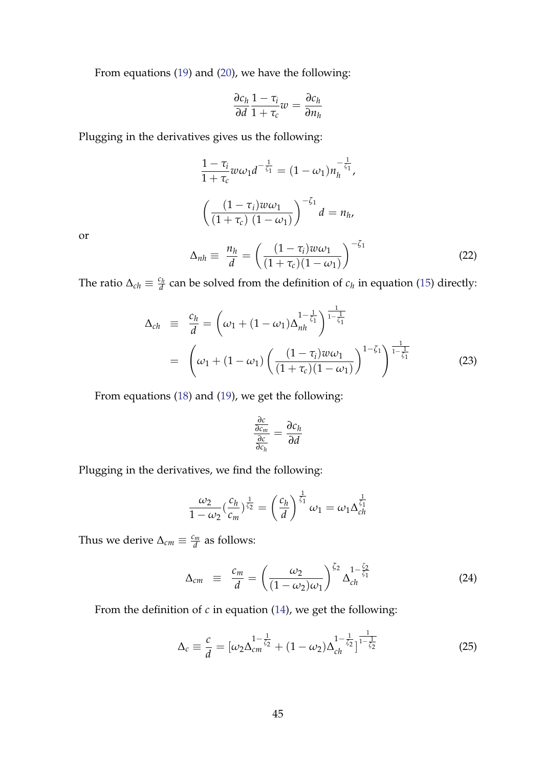From equations [\(19\)](#page-43-1) and [\(20\)](#page-43-1), we have the following:

$$
\frac{\partial c_h}{\partial d} \frac{1 - \tau_i}{1 + \tau_c} w = \frac{\partial c_h}{\partial n_h}
$$

Plugging in the derivatives gives us the following:

$$
\frac{1 - \tau_i}{1 + \tau_c} w \omega_1 d^{-\frac{1}{\zeta_1}} = (1 - \omega_1) n_h^{-\frac{1}{\zeta_1}},
$$

$$
\left(\frac{(1 - \tau_i) w \omega_1}{(1 + \tau_c) (1 - \omega_1)}\right)^{-\zeta_1} d = n_h,
$$

or

<span id="page-44-0"></span>
$$
\Delta_{nh} \equiv \frac{n_h}{d} = \left(\frac{(1-\tau_i)w\omega_1}{(1+\tau_c)(1-\omega_1)}\right)^{-\zeta_1}
$$
\n(22)

The ratio  $\Delta_{ch} \equiv \frac{c_h}{d}$  $\frac{d^2h}{dt}$  can be solved from the definition of  $c_h$  in equation [\(15\)](#page-43-2) directly:

<span id="page-44-1"></span>
$$
\Delta_{ch} \equiv \frac{c_h}{d} = \left(\omega_1 + (1 - \omega_1)\Delta_{nh}^{1 - \frac{1}{\zeta_1}}\right)^{\frac{1}{1 - \frac{1}{\zeta_1}}}
$$
\n
$$
= \left(\omega_1 + (1 - \omega_1)\left(\frac{(1 - \tau_i)w\omega_1}{(1 + \tau_c)(1 - \omega_1)}\right)^{1 - \zeta_1}\right)^{\frac{1}{1 - \frac{1}{\zeta_1}}} \tag{23}
$$

From equations [\(18\)](#page-43-1) and [\(19\)](#page-43-1), we get the following:

$$
\frac{\frac{\partial c}{\partial c_m}}{\frac{\partial c}{\partial c_h}} = \frac{\partial c_h}{\partial d}
$$

Plugging in the derivatives, we find the following:

$$
\frac{\omega_2}{1-\omega_2} \left(\frac{c_h}{c_m}\right)^{\frac{1}{\zeta_2}} = \left(\frac{c_h}{d}\right)^{\frac{1}{\zeta_1}} \omega_1 = \omega_1 \Delta_{ch}^{\frac{1}{\zeta_1}}
$$

Thus we derive  $\Delta_{cm} \equiv \frac{c_m}{d}$  $\frac{\partial m}{\partial d}$  as follows:

<span id="page-44-2"></span>
$$
\Delta_{cm} \equiv \frac{c_m}{d} = \left(\frac{\omega_2}{(1-\omega_2)\omega_1}\right)^{\zeta_2} \Delta_{ch}^{1-\frac{\zeta_2}{\zeta_1}} \tag{24}
$$

From the definition of *c* in equation [\(14\)](#page-43-2), we get the following:

$$
\Delta_c \equiv \frac{c}{d} = [\omega_2 \Delta_{cm}^{1-\frac{1}{\zeta_2}} + (1-\omega_2) \Delta_{ch}^{1-\frac{1}{\zeta_2}}]^{-\frac{1}{1-\frac{1}{\zeta_2}}} \tag{25}
$$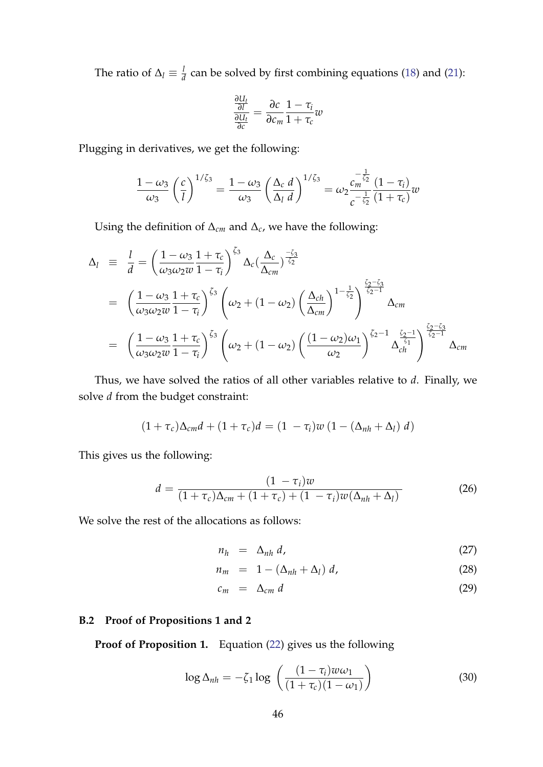The ratio of  $\Delta_l \equiv \frac{l}{d}$  $\frac{d}{d}$  can be solved by first combining equations [\(18\)](#page-43-1) and [\(21\)](#page-43-1):

$$
\frac{\frac{\partial U_t}{\partial l}}{\frac{\partial U_t}{\partial c}} = \frac{\partial c}{\partial c_m} \frac{1 - \tau_i}{1 + \tau_c} w
$$

Plugging in derivatives, we get the following:

$$
\frac{1-\omega_3}{\omega_3} \left(\frac{c}{l}\right)^{1/\zeta_3} = \frac{1-\omega_3}{\omega_3} \left(\frac{\Delta_c d}{\Delta_l d}\right)^{1/\zeta_3} = \omega_2 \frac{c_m^{-\frac{1}{\zeta_2}}}{c^{-\frac{1}{\zeta_2}}}\frac{(1-\tau_i)}{(1+\tau_c)}w
$$

Using the definition of ∆*cm* and ∆*c*, we have the following:

$$
\Delta_l \equiv \frac{l}{d} = \left(\frac{1-\omega_3}{\omega_3\omega_2 w} \frac{1+\tau_c}{1-\tau_i}\right)^{\zeta_3} \Delta_c \left(\frac{\Delta_c}{\Delta_{cm}}\right)^{-\zeta_2}
$$
\n
$$
= \left(\frac{1-\omega_3}{\omega_3\omega_2 w} \frac{1+\tau_c}{1-\tau_i}\right)^{\zeta_3} \left(\omega_2 + (1-\omega_2) \left(\frac{\Delta_{ch}}{\Delta_{cm}}\right)^{1-\frac{1}{\zeta_2}}\right)^{\frac{\zeta_2-\zeta_3}{\zeta_2-1}} \Delta_{cm}
$$
\n
$$
= \left(\frac{1-\omega_3}{\omega_3\omega_2 w} \frac{1+\tau_c}{1-\tau_i}\right)^{\zeta_3} \left(\omega_2 + (1-\omega_2) \left(\frac{(1-\omega_2)\omega_1}{\omega_2}\right)^{\zeta_2-1} \Delta_{ch}^{\frac{\zeta_2-1}{\zeta_1}}\right)^{\frac{\zeta_2-\zeta_3}{\zeta_2-1}} \Delta_{cm}
$$

Thus, we have solved the ratios of all other variables relative to *d*. Finally, we solve *d* from the budget constraint:

$$
(1+\tau_c)\Delta_{cm}d + (1+\tau_c)d = (1-\tau_i)w(1-(\Delta_{nh}+\Delta_l) d)
$$

This gives us the following:

$$
d = \frac{(1 - \tau_i)w}{(1 + \tau_c)\Delta_{cm} + (1 + \tau_c) + (1 - \tau_i)w(\Delta_{nh} + \Delta_l)}
$$
(26)

We solve the rest of the allocations as follows:

$$
n_h = \Delta_{nh} d, \qquad (27)
$$

$$
n_m = 1 - (\Delta_{nh} + \Delta_l) d, \qquad (28)
$$

$$
c_m = \Delta_{cm} d \tag{29}
$$

## **B.2 Proof of Propositions 1 and 2**

**Proof of Proposition 1.** Equation [\(22\)](#page-44-0) gives us the following

$$
\log \Delta_{nh} = -\zeta_1 \log \left( \frac{(1 - \tau_i) w \omega_1}{(1 + \tau_c)(1 - \omega_1)} \right) \tag{30}
$$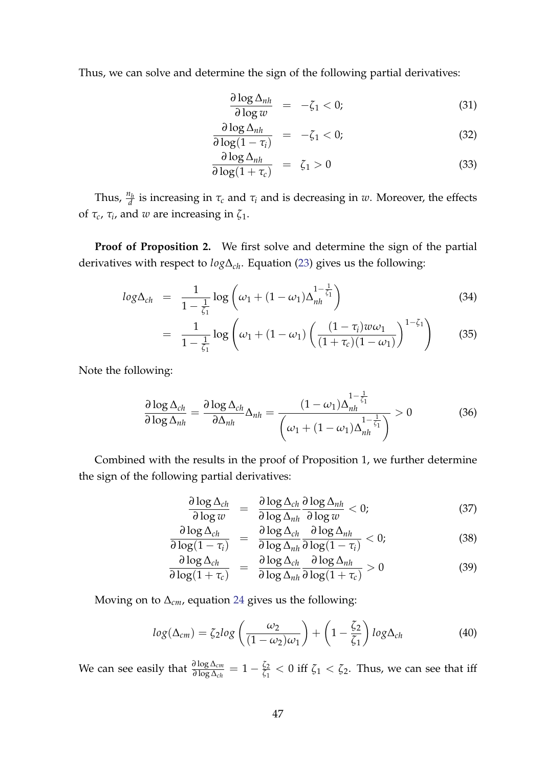Thus, we can solve and determine the sign of the following partial derivatives:

$$
\frac{\partial \log \Delta_{nh}}{\partial \log w} = -\zeta_1 < 0; \tag{31}
$$

$$
\frac{\partial \log \Delta_{nh}}{\partial \log(1 - \tau_i)} = -\zeta_1 < 0; \tag{32}
$$

$$
\frac{\partial \log \Delta_{nh}}{\partial \log(1 + \tau_c)} = \zeta_1 > 0 \tag{33}
$$

Thus,  $\frac{n_h}{d}$  is increasing in  $\tau_c$  and  $\tau_i$  and is decreasing in *w*. Moreover, the effects of *τc*, *τ<sup>i</sup>* , and *w* are increasing in *ζ*1.

**Proof of Proposition 2.** We first solve and determine the sign of the partial derivatives with respect to *log*∆*ch*. Equation [\(23\)](#page-44-1) gives us the following:

$$
log \Delta_{ch} = \frac{1}{1 - \frac{1}{\zeta_1}} log \left( \omega_1 + (1 - \omega_1) \Delta_{nh}^{1 - \frac{1}{\zeta_1}} \right)
$$
(34)

$$
= \frac{1}{1 - \frac{1}{\zeta_1}} \log \left( \omega_1 + (1 - \omega_1) \left( \frac{(1 - \tau_i) w \omega_1}{(1 + \tau_c)(1 - \omega_1)} \right)^{1 - \zeta_1} \right) \tag{35}
$$

Note the following:

$$
\frac{\partial \log \Delta_{ch}}{\partial \log \Delta_{nh}} = \frac{\partial \log \Delta_{ch}}{\partial \Delta_{nh}} \Delta_{nh} = \frac{(1 - \omega_1) \Delta_{nh}^{1 - \frac{1}{\zeta_1}}}{\left(\omega_1 + (1 - \omega_1) \Delta_{nh}^{1 - \frac{1}{\zeta_1}}\right)} > 0 \tag{36}
$$

Combined with the results in the proof of Proposition 1, we further determine the sign of the following partial derivatives:

$$
\frac{\partial \log \Delta_{ch}}{\partial \log w} = \frac{\partial \log \Delta_{ch}}{\partial \log \Delta_{nh}} \frac{\partial \log \Delta_{nh}}{\partial \log w} < 0; \tag{37}
$$

$$
\frac{\partial \log \Delta_{ch}}{\partial \log(1 - \tau_i)} = \frac{\partial \log \Delta_{ch}}{\partial \log \Delta_{nh}} \frac{\partial \log \Delta_{nh}}{\partial \log(1 - \tau_i)} < 0; \tag{38}
$$

$$
\frac{\partial \log \Delta_{ch}}{\partial \log(1+\tau_c)} = \frac{\partial \log \Delta_{ch}}{\partial \log \Delta_{nh}} \frac{\partial \log \Delta_{nh}}{\partial \log(1+\tau_c)} > 0 \tag{39}
$$

Moving on to ∆*cm*, equation [24](#page-44-2) gives us the following:

$$
log(\Delta_{cm}) = \zeta_2 log\left(\frac{\omega_2}{(1-\omega_2)\omega_1}\right) + \left(1 - \frac{\zeta_2}{\zeta_1}\right) log\Delta_{ch}
$$
 (40)

We can see easily that  $\frac{\partial \log \Delta_{cm}}{\partial \log \Delta_{ch}} = 1 - \frac{\zeta_2}{\zeta_1}$  $\frac{\xi_2}{\xi_1}$  < 0 iff  $\zeta_1$  <  $\zeta_2$ . Thus, we can see that iff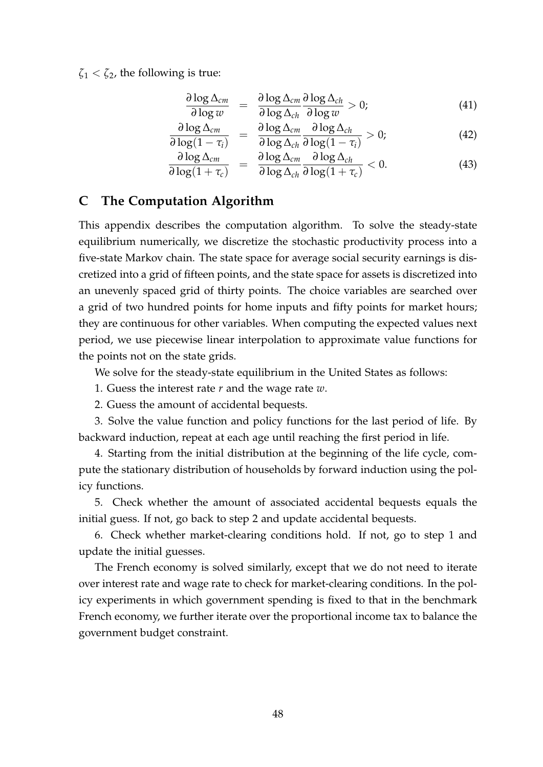$\zeta_1 < \zeta_2$ , the following is true:

$$
\frac{\partial \log \Delta_{cm}}{\partial \log w} = \frac{\partial \log \Delta_{cm}}{\partial \log \Delta_{ch}} \frac{\partial \log \Delta_{ch}}{\partial \log w} > 0; \tag{41}
$$

$$
\frac{\partial \log \Delta_{cm}}{\partial \log(1 - \tau_i)} = \frac{\partial \log \Delta_{cm}}{\partial \log \Delta_{ch}} \frac{\partial \log \Delta_{ch}}{\partial \log(1 - \tau_i)} > 0;
$$
\n(42)

$$
\frac{\partial \log \Delta_{cm}}{\partial \log(1+\tau_c)} = \frac{\partial \log \Delta_{cm}}{\partial \log \Delta_{ch}} \frac{\partial \log \Delta_{ch}}{\partial \log(1+\tau_c)} < 0.
$$
\n(43)

## <span id="page-47-0"></span>**C The Computation Algorithm**

This appendix describes the computation algorithm. To solve the steady-state equilibrium numerically, we discretize the stochastic productivity process into a five-state Markov chain. The state space for average social security earnings is discretized into a grid of fifteen points, and the state space for assets is discretized into an unevenly spaced grid of thirty points. The choice variables are searched over a grid of two hundred points for home inputs and fifty points for market hours; they are continuous for other variables. When computing the expected values next period, we use piecewise linear interpolation to approximate value functions for the points not on the state grids.

We solve for the steady-state equilibrium in the United States as follows:

1. Guess the interest rate *r* and the wage rate *w*.

2. Guess the amount of accidental bequests.

3. Solve the value function and policy functions for the last period of life. By backward induction, repeat at each age until reaching the first period in life.

4. Starting from the initial distribution at the beginning of the life cycle, compute the stationary distribution of households by forward induction using the policy functions.

5. Check whether the amount of associated accidental bequests equals the initial guess. If not, go back to step 2 and update accidental bequests.

6. Check whether market-clearing conditions hold. If not, go to step 1 and update the initial guesses.

The French economy is solved similarly, except that we do not need to iterate over interest rate and wage rate to check for market-clearing conditions. In the policy experiments in which government spending is fixed to that in the benchmark French economy, we further iterate over the proportional income tax to balance the government budget constraint.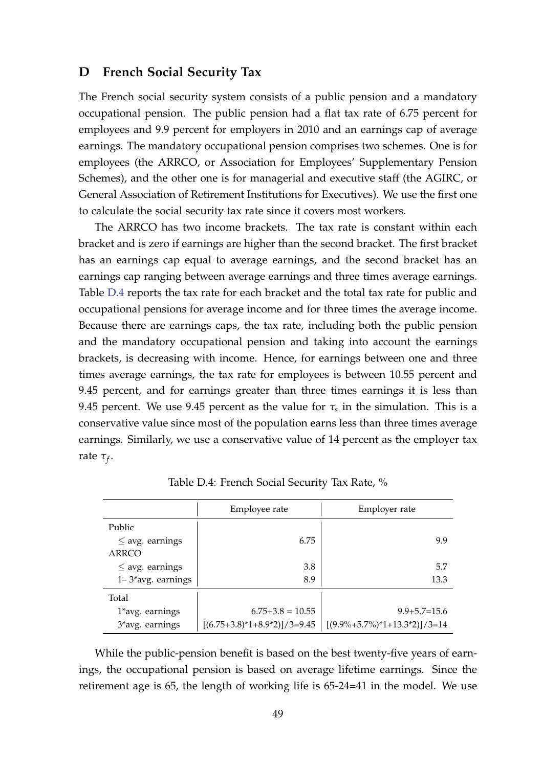#### <span id="page-48-0"></span>**D French Social Security Tax**

The French social security system consists of a public pension and a mandatory occupational pension. The public pension had a flat tax rate of 6.75 percent for employees and 9.9 percent for employers in 2010 and an earnings cap of average earnings. The mandatory occupational pension comprises two schemes. One is for employees (the ARRCO, or Association for Employees' Supplementary Pension Schemes), and the other one is for managerial and executive staff (the AGIRC, or General Association of Retirement Institutions for Executives). We use the first one to calculate the social security tax rate since it covers most workers.

The ARRCO has two income brackets. The tax rate is constant within each bracket and is zero if earnings are higher than the second bracket. The first bracket has an earnings cap equal to average earnings, and the second bracket has an earnings cap ranging between average earnings and three times average earnings. Table [D.4](#page-48-1) reports the tax rate for each bracket and the total tax rate for public and occupational pensions for average income and for three times the average income. Because there are earnings caps, the tax rate, including both the public pension and the mandatory occupational pension and taking into account the earnings brackets, is decreasing with income. Hence, for earnings between one and three times average earnings, the tax rate for employees is between 10.55 percent and 9.45 percent, and for earnings greater than three times earnings it is less than 9.45 percent. We use 9.45 percent as the value for  $\tau_s$  in the simulation. This is a conservative value since most of the population earns less than three times average earnings. Similarly, we use a conservative value of 14 percent as the employer tax rate *τ<sup>f</sup>* .

<span id="page-48-1"></span>

|                        | Employee rate                 | Employer rate                               |  |
|------------------------|-------------------------------|---------------------------------------------|--|
| Public                 |                               |                                             |  |
| $\leq$ avg. earnings   | 6.75                          | 9.9                                         |  |
| ARRCO                  |                               |                                             |  |
| $\leq$ avg. earnings   | 3.8                           | 5.7                                         |  |
| $1 - 3*$ avg. earnings | 8.9                           | 13.3                                        |  |
| Total                  |                               |                                             |  |
| 1*avg. earnings        | $6.75+3.8=10.55$              | $9.9 + 5.7 = 15.6$                          |  |
| 3*avg. earnings        | $[(6.75+3.8)*1+8.9*2]/3=9.45$ | $[(9.9\% + 5.7\%)^* + 143.3^* + 2)]/3 = 14$ |  |

Table D.4: French Social Security Tax Rate, %

While the public-pension benefit is based on the best twenty-five years of earnings, the occupational pension is based on average lifetime earnings. Since the retirement age is 65, the length of working life is 65-24=41 in the model. We use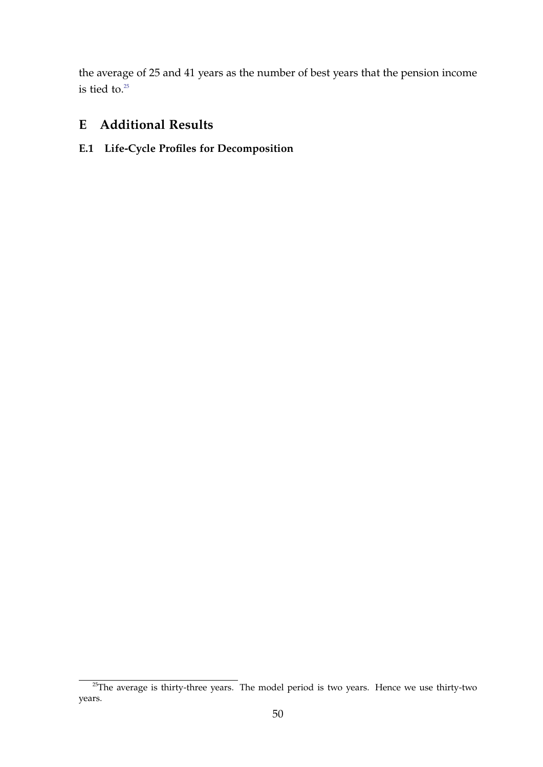the average of 25 and 41 years as the number of best years that the pension income is tied to. $25$ 

# <span id="page-49-0"></span>**E Additional Results**

# **E.1 Life-Cycle Profiles for Decomposition**

<span id="page-49-1"></span> $25$ The average is thirty-three years. The model period is two years. Hence we use thirty-two years.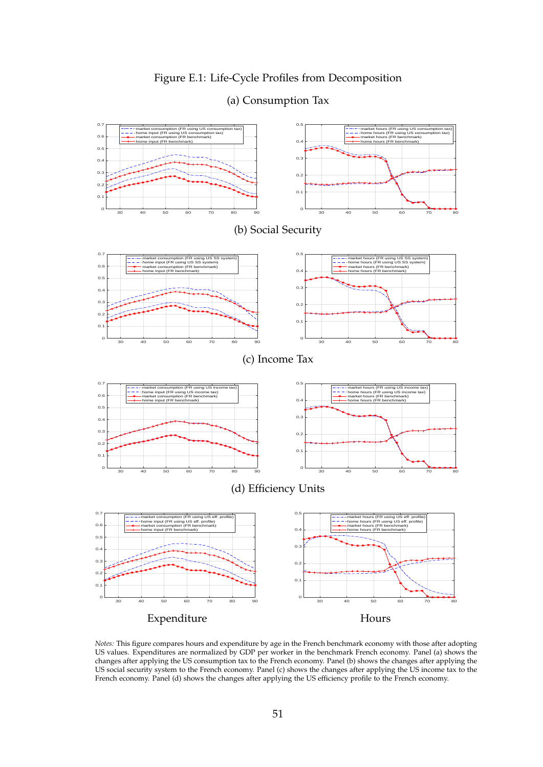## Figure E.1: Life-Cycle Profiles from Decomposition



(a) Consumption Tax

*Notes:* This figure compares hours and expenditure by age in the French benchmark economy with those after adopting US values. Expenditures are normalized by GDP per worker in the benchmark French economy. Panel (a) shows the changes after applying the US consumption tax to the French economy. Panel (b) shows the changes after applying the US social security system to the French economy. Panel (c) shows the changes after applying the US income tax to the French economy. Panel (d) shows the changes after applying the US efficiency profile to the French economy.